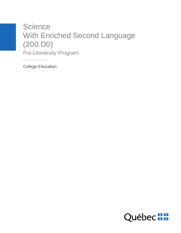# **Science** With Enriched Second Language (200.D0) Pre-University Program

College Education

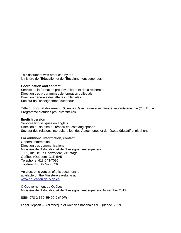This document was produced by the Ministère de l'Éducation et de l'Enseignement supérieur.

#### **Coordination and content**

Service de la formation préuniversitaire et de la recherche Direction des programmes de formation collégiale Direction générale des affaires collégiales Secteur de l'enseignement supérieur

**Title of original document:** *Sciences de la nature avec langue seconde enrichie* (200.D0) – Programme d'études préuniversitaires

#### **English version**

Services linguistiques en anglais Direction du soutien au réseau éducatif anglophone Secteur des relations interculturelles, des Autochtones et du réseau éducatif anglophone

#### **For additional information, contact:**

General Information Direction des communications Ministère de l'Éducation et de l'Enseignement supérieur 1035, rue De La Chevrotière, 21<sup>e</sup> étage Québec (Québec) G1R 5A5 Telephone: 418-643-7095 Toll-free: 1-866-747-6626

An electronic version of this document is available on the Ministère's website at: [www.education.gouv.qc.ca.](http://www.education.gouv.qc.ca/)

© Gouvernement du Québec Ministère de l'Éducation et de l'Enseignement supérieur, November 2019

ISBN 978-2-550-85499-9 (PDF)

Legal Deposit – Bibliothèque et Archives nationales du Québec, 2019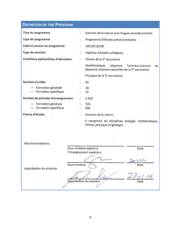| <b>DEFINITION OF THE PROGRAM</b>     |                                                             |                                                                                                                      |
|--------------------------------------|-------------------------------------------------------------|----------------------------------------------------------------------------------------------------------------------|
| Titre du programme                   | t.                                                          | Sciences de la nature avec langue seconde enrichie                                                                   |
| Type de programme                    | ÷.                                                          | Programme d'études préuniversitaires                                                                                 |
| Code et version du programme         |                                                             | 200.D0 (2018)                                                                                                        |
| Type de sanction                     | t                                                           | Diplôme d'études collégiales                                                                                         |
| Conditions particulières d'admission | ċ.                                                          | Chimie de la 5 <sup>e</sup> secondaire                                                                               |
|                                      |                                                             | Mathématique,<br>séquence<br>Technico-sciences<br>ou<br>séquence Sciences naturelles de la 5 <sup>e</sup> secondaire |
|                                      |                                                             | Physique de la 5 <sup>e</sup> secondaire                                                                             |
| Nombre d'unités                      |                                                             | 60                                                                                                                   |
| - Formation générale                 |                                                             | 28                                                                                                                   |
| $-$ Formation spécifique             |                                                             | 32                                                                                                                   |
| Nombre de périodes d'enseignement    | Ŧ,                                                          | 1620                                                                                                                 |
| - Formation générale                 | b.                                                          | 720                                                                                                                  |
| - Formation spécifique               |                                                             | 900                                                                                                                  |
| Champ d'études                       | ÷.                                                          | Sciences de la nature                                                                                                |
|                                      |                                                             | Il comprend les disciplines biologie, mathématique,<br>chimie, physique et géologie.                                 |
|                                      |                                                             |                                                                                                                      |
| Recommandations:                     |                                                             |                                                                                                                      |
|                                      | Sous-ministre adjoint à<br>Date<br>l'Enseignement supérieur |                                                                                                                      |
|                                      |                                                             |                                                                                                                      |
| Sous-ministre                        |                                                             | Date                                                                                                                 |
| Approbation du ministre:             |                                                             |                                                                                                                      |
|                                      |                                                             | $\epsilon_{2}$                                                                                                       |
| Approbation du ministre<br>Date      |                                                             |                                                                                                                      |
|                                      |                                                             |                                                                                                                      |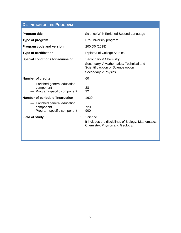| <b>DEFINITION OF THE PROGRAM</b>                                                                     |  |                                                                                                                               |  |
|------------------------------------------------------------------------------------------------------|--|-------------------------------------------------------------------------------------------------------------------------------|--|
| <b>Program title</b><br>Type of program<br>Program code and version<br><b>Type of certification</b>  |  | Science With Enriched Second Language<br>Pre-university program<br>200.D0 (2018)<br>Diploma of College Studies                |  |
| <b>Special conditions for admission</b>                                                              |  | Secondary V Chemistry<br>Secondary V Mathematics: Technical and<br>Scientific option or Science option<br>Secondary V Physics |  |
| <b>Number of credits</b>                                                                             |  | 60                                                                                                                            |  |
| - Enriched general education<br>component<br>- Program-specific component :                          |  | 28<br>32                                                                                                                      |  |
| Number of periods of instruction                                                                     |  | 1620                                                                                                                          |  |
| - Enriched general education<br>component<br>- Program-specific component :<br><b>Field of study</b> |  | 720<br>900<br>Science<br>It includes the disciplines of Biology, Mathematics,<br>Chemistry, Physics and Geology.              |  |
|                                                                                                      |  |                                                                                                                               |  |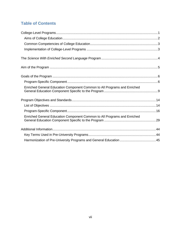## **Table of Contents**

| Enriched General Education Component Common to All Programs and Enriched |  |
|--------------------------------------------------------------------------|--|
|                                                                          |  |
|                                                                          |  |
|                                                                          |  |
| Enriched General Education Component Common to All Programs and Enriched |  |
|                                                                          |  |
|                                                                          |  |
|                                                                          |  |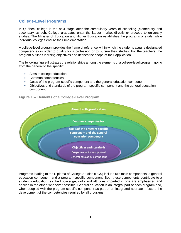### <span id="page-8-0"></span>**College-Level Programs**

In Québec, college is the next stage after the compulsory years of schooling (elementary and secondary school). College graduates enter the labour market directly or proceed to university studies. The Minister of Education and Higher Education establishes the programs of study, while individual colleges ensure their implementation.

A college-level program provides the frame of reference within which the students acquire designated competencies in order to qualify for a profession or to pursue their studies. For the teachers, the program outlines learning objectives and defines the scope of their application.

The following figure illustrates the relationships among the elements of a college-level program, going from the general to the specific:

- Aims of college education;
- Common competencies;
- Goals of the program-specific component and the general education component;
- Objectives and standards of the program-specific component and the general education component.



#### **Figure 1** − **Elements of a College-Level Program**

Programs leading to the Diploma of College Studies (DCS) include two main components: a general education component and a program-specific component. Both these components contribute to a student's education, as the knowledge, skills and attitudes imparted in one are emphasized and applied in the other, whenever possible. General education is an integral part of each program and, when coupled with the program-specific component as part of an integrated approach, fosters the development of the competencies required by all programs.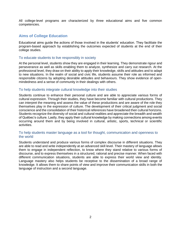All college-level programs are characterized by three educational aims and five common competencies.

#### <span id="page-9-0"></span>**Aims of College Education**

Educational aims guide the actions of those involved in the students' education. They facilitate the program-based approach by establishing the outcomes expected of students at the end of their college studies.

#### To educate students to live responsibly in society

At the personal level, students show they are engaged in their learning. They demonstrate rigour and perseverance as well as skills enabling them to analyze, synthesize and carry out research. At the professional level, they draw on their ability to apply their knowledge, skills and attitudes and to adapt to new situations. In the realm of social and civic life, students assume their role as informed and responsible citizens by adopting desirable attitudes and behaviours. They show evidence of openmindedness and a sense of community in their dealings with others.

#### To help students integrate cultural knowledge into their studies

Students continue to enhance their personal culture and are able to appreciate various forms of cultural expression. Through their studies, they have become familiar with cultural productions. They can interpret the meaning and assess the value of these productions and are aware of the role they themselves play in the expression of culture. The development of their critical judgment and social conscience and the consolidation of their historical references have broadened their cultural horizons. Students recognize the diversity of social and cultural realities and appreciate the breadth and wealth of Québec's culture. Lastly, they apply their cultural knowledge by making connections among events occurring around them and by being involved in cultural, artistic, sports, technical or scientific activities.

#### To help students master language as a tool for thought, communication and openness to the world

Students understand and produce various forms of complex discourse in different situations. They are able to read and write independently at an advanced skill level. Their mastery of language allows them to engage in independent reflection, to know where they stand relative to various forms of discourse, and to express themselves in a structured, rational and precise manner. When faced with different communication situations, students are able to express their world view and identity. Language mastery also helps students be receptive to the dissemination of a broad range of knowledge. It allows them to share points of view and improve their communication skills in both the language of instruction and a second language.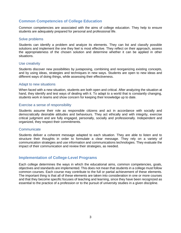#### <span id="page-10-0"></span>**Common Competencies of College Education**

Common competencies are associated with the aims of college education. They help to ensure students are adequately prepared for personal and professional life.

#### Solve problems

Students can identify a problem and analyze its elements. They can list and classify possible solutions and implement the one they feel is most effective. They reflect on their approach, assess the appropriateness of the chosen solution and determine whether it can be applied in other situations.

#### Use creativity

Students discover new possibilities by juxtaposing, combining and reorganizing existing concepts, and by using ideas, strategies and techniques in new ways. Students are open to new ideas and different ways of doing things, while assessing their effectiveness.

#### Adapt to new situations

When faced with a new situation, students are both open and critical. After analyzing the situation at hand, they identify and test ways of dealing with it. To adapt to a world that is constantly changing, students work in teams and show concern for keeping their knowledge up to date.

#### Exercise a sense of responsibility

Students assume their role as responsible citizens and act in accordance with socially and democratically desirable attitudes and behaviours. They act ethically and with integrity, exercise critical judgment and are fully engaged, personally, socially and professionally. Independent and organized, they respect their commitments.

#### **Communicate**

Students deliver a coherent message adapted to each situation. They are able to listen and to structure their thoughts in order to formulate a clear message. They rely on a variety of communication strategies and use information and communications technologies. They evaluate the impact of their communication and review their strategies, as needed.

#### <span id="page-10-1"></span>**Implementation of College-Level Programs**

Each college determines the ways in which the educational aims, common competencies, goals, objectives and standards are implemented. This does not mean that students in a college must follow common courses. Each course may contribute to the full or partial achievement of these elements. The important thing is that all of these elements are taken into consideration in one or more courses and that they become specific focuses of teaching and learning, since they have been recognized as essential to the practice of a profession or to the pursuit of university studies in a given discipline.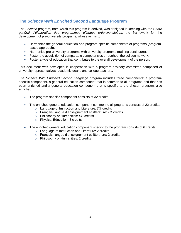### <span id="page-11-0"></span>**The** *Science With Enriched Second Language* **Program**

The *Science* program, from which this program is derived, was designed in keeping with the *Cadre général d'élaboration des programmes d'études préuniversitaires*, the framework for the development of pre-university programs, whose aim is to:

- Harmonize the general education and program-specific components of programs (programbased approach);
- Harmonize pre-university programs with university programs (training continuum);
- Foster the acquisition of comparable competencies throughout the college network;
- Foster a type of education that contributes to the overall development of the person.

This document was developed in cooperation with a program advisory committee composed of university representatives, academic deans and college teachers.

The *Science With Enriched Second Language* program includes three components: a programspecific component, a general education component that is common to all programs and that has been enriched and a general education component that is specific to the chosen program, also enriched.

- The program-specific component consists of 32 credits.
- The enriched general education component common to all programs consists of 22 credits:
	- o Language of Instruction and Literature: 7⅓ credits
	- o Français, langue d'enseignement et littérature: 7⅓ credits
	- o Philosophy or Humanities: 4⅓ credits
	- o Physical Education: 3 credits
- The enriched general education component specific to the program consists of 6 credits:
	- o Language of Instruction and Literature: 2 credits
	- o Français, langue d'enseignement et littérature: 2 credits
	- o Philosophy or Humanities: 2 credits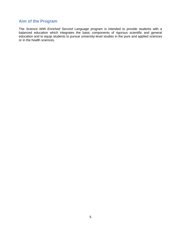### <span id="page-12-0"></span>**Aim of the Program**

The *Science With Enriched Second Language* program is intended to provide students with a balanced education which integrates the basic components of rigorous scientific and general education and to equip students to pursue university-level studies in the pure and applied sciences or in the health sciences.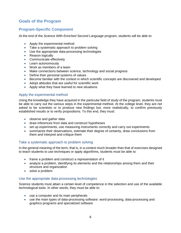### <span id="page-13-0"></span>**Goals of the Program**

#### <span id="page-13-1"></span>**Program-Specific Component**

At the end of the *Science With Enriched Second Language* program, students will be able to:

- Apply the experimental method
- Take a systematic approach to problem solving
- Use the appropriate data-processing technologies
- Reason logically
- Communicate effectively
- Learn autonomously
- Work as members of a team
- Make connections between science, technology and social progress
- Define their personal systems of values
- Become familiar with the context in which scientific concepts are discovered and developed
- Adopt attitudes that are useful for scientific work
- Apply what they have learned to new situations

#### Apply the experimental method

Using the knowledge they have acquired in the particular field of study of the program, students must be able to carry out the various steps in the experimental method. At the college level, they are not asked to be scientists or to produce new findings but, more realistically, to confirm previously established results or to verify propositions. To this end, they must:

- observe and gather data
- draw inferences from data and construct hypotheses
- set up experiments, use measuring instruments correctly and carry out experiments
- summarize their observations, estimate their degree of certainty, draw conclusions from them and interpret and critique them

#### Take a systematic approach to problem solving

In the general meaning of the term, that is, in a context much broader than that of exercises designed to teach students to use techniques or apply algorithms, students must be able to:

- frame a problem and construct a representation of it
- analyze a problem, identifying its elements and the relationships among them and their structure and organization
- solve a problem

#### Use the appropriate data-processing technologies

Science students must attain a certain level of competence in the selection and use of the available technological tools. In other words, they must be able to:

- use a computer and its main peripherals
- use the main types of data-processing software: word-processing, data-processing and graphics programs and specialized software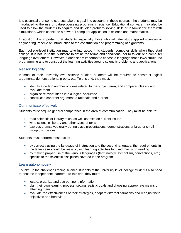It is essential that some courses take this goal into account. In these courses, the students may be introduced to the use of data-processing programs in science. Educational software may also be used to allow the students to acquire and develop problem-solving skills or to familiarize them with simulations, which constitute a powerful computer application in science and mathematics.

In addition, it is important that students, especially those who will later study applied sciences or engineering, receive an introduction to the construction and programming of algorithms.

Each college-level institution may take into account its students' computer skills when they start college. It is not up to the Ministère to define the terms and conditions, nor to favour one computer language over others. However, it does seem important to choose a language that allows structured programming and to construct the learning activities around scientific problems and applications.

#### Reason logically

In most of their university-level science studies, students will be required to construct logical arguments, demonstrations, proofs, etc. To this end, they must:

- identify a certain number of ideas related to the subject area, and compare, classify and evaluate them
- organize relevant ideas into a logical sequence
- construct a coherent argument, a rationale and a proof

#### Communicate effectively

Students must acquire general competence in the area of communication. They must be able to:

- read scientific or literary texts, as well as texts on current issues
- write scientific, literary and other types of texts
- express themselves orally during class presentations, demonstrations or large or small group discussions

Students must perform these tasks:

- by correctly using the language of instruction and the second language; the requirements in the latter case should be realistic, with learning activities focused mainly on reading
- by making proper use of the various languages (terminology, symbolism, conventions, etc.) specific to the scientific disciplines covered in the program

#### Learn autonomously

To take up the challenges facing science students at the university level, college students also need to become independent learners: To this end, they must:

- locate, organize and use pertinent information
- plan their own learning process, setting realistic goals and choosing appropriate means of attaining them
- evaluate the effectiveness of their strategies, adapt to different situations and readjust their objectives and behaviour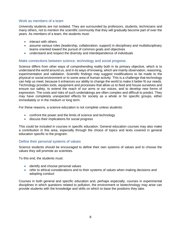#### Work as members of a team

University students are not isolated. They are surrounded by professors, students, technicians and many others, not to mention the scientific community that they will gradually become part of over the years. As members of a team, the students must:

- interact with others
- assume various roles (leadership, collaboration, support) in disciplinary and multidisciplinary teams oriented toward the pursuit of common goals and objectives
- understand and respect the diversity and interdependence of individuals

#### Make connections between science, technology and social progress

Science differs from other ways of comprehending reality both in its primary objective, which is to understand the world around us, and in its ways of knowing, which are mainly observation, reasoning, experimentation and validation. Scientific findings may suggest modifications to be made to the physical or social environment or to some area of human activity. This is a challenge that technology can help us meet, because it enhances our ability to change the world to make it better fit our needs. Technology provides tools, equipment and processes that allow us to feed and house ourselves and ensure our safety, to extend the reach of our arms or our voices, and to develop new forms of expression. The costs and risks of such undertakings are often complex and difficult to predict. They may have completely unexpected effects for society as a whole or for specific groups, either immediately or in the medium or long term.

For these reasons, a science education is not complete unless students:

- confront the power and the limits of science and technology
- discuss their implications for social progress

This could be included in courses in specific education. General education courses may also make a contribution in this area, especially through the choice of topics and texts covered in general education specific to the program.

#### Define their personal systems of values

Science students should be encouraged to define their own systems of values and to choose the values they will promote as scientists.

To this end, the students must:

- identify and choose personal values
- refer to ethical considerations and to their systems of values when making decisions and adopting conduct

Courses in both general and specific education and, perhaps especially, courses in experimental disciplines in which questions related to pollution, the environment or biotechnology may arise can provide students with the knowledge and skills on which to base the positions they take.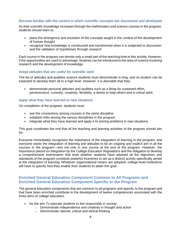#### Become familiar with the context in which scientific concepts are discovered and developed

As their scientific knowledge increases through the mathematics and science courses in the program, students should learn to:

- place the emergence and evolution of the concepts taught in the context of the development of human thought
- recognize how knowledge is constructed and transformed when it is subjected to discussion and the validation of hypotheses through research

Each course in the program can devote only a small part of the teaching time to this activity. However, if the opportunities are used to advantage, students can be introduced to the area of science involving research and the development of knowledge.

#### Adopt attitudes that are useful for scientific work

The list of attitudes and qualities science students must demonstrate is long, and no student can be expected to develop them all to a high level. However, it is desirable that they:

• demonstrate personal attitudes and qualities such as a liking for sustained effort, perseverance, curiosity, creativity, flexibility, a desire to help others and a critical spirit

#### Apply what they have learned to new situations

On completion of the program, students must:

- see the connections among courses in the same discipline
- establish links among the various disciplines in the program
- integrate what they have learned and apply it to solving problems in new situations

This goal constitutes the end that all the teaching and learning activities of the program should aim for.

Everyone immediately recognizes the importance of the integration of learning in the program, and everyone wants the integration of learning and attitudes to be an ongoing and explicit aim in all the courses in the program—and not only in one course at the end of the program. However, the importance placed on integration by the *College Education Regulations* and the obligation to develop a comprehensive examination that tests whether students have attained all the objectives and standards of the program constitute powerful incentives to set up a distinct activity specifically aimed at the integration of learning. Whatever organizational means are adopted, college-level institutions will have to specify how they enable their students to attain this goal.

#### <span id="page-16-0"></span>**Enriched General Education Component Common to All Programs and Enriched General Education Component Specific to the Program**

The general education components that are common to all programs and specific to the program and that have been enriched contribute to the development of twelve competencies associated with the three aims of college education:

- for the aim *To educate students to live responsibly in society*:
	- o Demonstrate independence and creativity in thought and action
	- o Demonstrate rational, critical and ethical thinking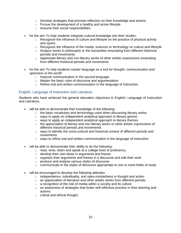- $\circ$  Develop strategies that promote reflection on their knowledge and actions
- $\circ$  Pursue the development of a healthy and active lifestyle
- o Assume their social responsibilities
- for the aim *To help students integrate cultural knowledge into their studies*:
	- $\circ$  Recognize the influence of culture and lifestyle on the practice of physical activity and sports
	- $\circ$  Recognize the influence of the media, sciences or technology on culture and lifestyle
	- $\circ$  Analyze works in philosophy or the humanities emanating from different historical periods and movements
	- $\circ$  Appreciate literary and non-literary works of other artistic expressions emanating from different historical periods and movements
- for the aim *To help students master language as a tool for thought, communication and openness to the world*:
	- o Improve communication in the second language
	- o Master the basic rules of discourse and argumentation
	- o Refine oral and written communication in the language of instruction

#### English, Language of Instruction and Literature

Students who have achieved the general education objectives in English, Language of Instruction and Literature,

- will be able to demonstrate their knowledge of the following:
	- $\circ$  the basic vocabulary and terminology used when discussing literary works
	- o ways to apply an independent analytical approach to literary genres
	- o ways to apply an independent analytical approach to literary themes
	- $\circ$  the appreciation of literary and non-literary works or other artistic expressions of different historical periods and movements
	- $\circ$  ways to identify the socio-cultural and historical context of different periods and movements
	- $\circ$  ways to refine oral and written communication in the language of instruction
- will be able to demonstrate their ability to do the following:
	- $\circ$  read, write, listen and speak at a college level of proficiency
	- $\circ$  develop their own ideas in arguments and theses
	- $\circ$  organize their arguments and theses in a discourse and edit their work
	- o produce and analyze various styles of discourse
	- $\circ$  communicate in the styles of discourse appropriate to one or more fields of study
- will be encouraged to develop the following attitudes:
	- o independence, individuality, and open-mindedness in thought and action
	- $\circ$  an appreciation of literature and other artistic works from different periods
	- $\circ$  a recognition of the role of media within a society and its culture
	- o an awareness of strategies that foster self-reflective practice in their learning and actions
	- o critical and ethical thought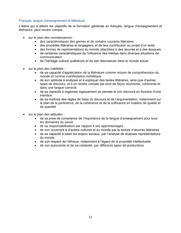#### Français, langue d'enseignement et littérature

L'élève qui a atteint les objectifs de la formation générale en français, langue d'enseignement et littérature, peut rendre compte,

- sur le plan des connaissances :
	- des caractéristiques des genres et de certains courants littéraires
	- des procédés littéraires et langagiers, et de leur contribution au projet d'un texte
	- des formes de représentations du monde attachées à des œuvres et à des époques
	- de certaines caractéristiques de l'influence des médias dans diverses situations de communication
	- de l'héritage culturel québécois et de ses résonances dans le monde actuel
- sur le plan des habiletés :
	- de sa capacité d'appréciation de la littérature comme moyen de compréhension du monde et comme manifestation esthétique
	- de son aptitude à analyser et à expliquer des textes littéraires, ainsi que d'autres types de discours, et à en rendre compte par écrit de façon structurée, cohérente et dans une langue correcte
	- de sa capacité à organiser logiquement sa pensée et son discours en fonction d'une intention
	- de sa maîtrise des règles de base du discours et de l'argumentation, notamment sur le plan de la pertinence, de la cohérence et de la suffisance en matière de qualité et de quantité
- sur le plan des attitudes :
	- de sa prise de conscience de l'importance de la langue d'enseignement pour tous les domaines du savoir
	- de sa responsabilisation par rapport à ses apprentissages
	- de son ouverture à d'autres cultures et au monde par la lecture d'œuvres littéraires
	- de sa capacité à saisir les enjeux sociaux, par l'analyse de diverses représentations du monde
	- de son respect de l'éthique, notamment à l'égard de la propriété intellectuelle
	- de son autonomie et de sa créativité, par différents types de productions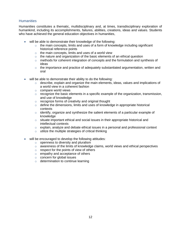#### **Humanities**

Humanities constitutes a thematic, multidisciplinary and, at times, transdisciplinary exploration of humankind, including its accomplishments, failures, abilities, creations, ideas and values. Students who have achieved the general education objectives in humanities,

- will be able to demonstrate their knowledge of the following:
	- $\circ$  the main concepts, limits and uses of a form of knowledge including significant historical reference points
	- $\circ$  the main concepts, limits and uses of a world view
	- $\circ$  the nature and organization of the basic elements of an ethical question
	- $\circ$  methods for coherent integration of concepts and the formulation and synthesis of ideas
	- $\circ$  the importance and practice of adequately substantiated argumentation, written and oral
- will be able to demonstrate their ability to do the following:
	- $\circ$  describe, explain and organize the main elements, ideas, values and implications of a world view in a coherent fashion
	- o compare world views
	- $\circ$  recognize the basic elements in a specific example of the organization, transmission, and use of knowledge
	- o recognize forms of creativity and original thought
	- $\circ$  define the dimensions, limits and uses of knowledge in appropriate historical contexts
	- $\circ$  identify, organize and synthesize the salient elements of a particular example of knowledge
	- $\circ$  situate important ethical and social issues in their appropriate historical and intellectual contexts
	- o explain, analyze and debate ethical issues in a personal and professional context
	- $\circ$  utilize the multiple strategies of critical thinking
- will be encouraged to develop the following attitudes:
	- $\circ$  openness to diversity and pluralism
	- $\circ$  awareness of the limits of knowledge claims, world views and ethical perspectives
	- $\circ$  respect for the points of view of others
	- o empathy and acceptance of others
	- o concern for global issues
	- o determination to continue learning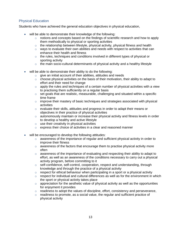#### Physical Education

Students who have achieved the general education objectives in physical education,

- will be able to demonstrate their knowledge of the following:
	- $\circ$  notions and concepts based on the findings of scientific research and how to apply them methodically to physical or sporting activities
	- $\circ$  the relationship between lifestyle, physical activity, physical fitness and health
	- $\circ$  ways to evaluate their own abilities and needs with respect to activities that can enhance their health and fitness
	- $\circ$  the rules, techniques and conditions involved in different types of physical or sporting activity
	- $\circ$  the main socio-cultural determinants of physical activity and a healthy lifestyle
- will be able to demonstrate their ability to do the following:
	- o give an initial account of their abilities, attitudes and needs
	- $\circ$  choose physical activities on the basis of their motivation, their ability to adapt to effort and their need for change
	- $\circ$  apply the rules and techniques of a certain number of physical activities with a view to practising them sufficiently on a regular basis
	- $\circ$  set goals that are realistic, measurable, challenging and situated within a specific time frame
	- $\circ$  improve their mastery of basic techniques and strategies associated with physical activities
	- $\circ$  evaluate their skills, attitudes and progress in order to adapt their means or objectives in their practice of physical activities
	- $\circ$  autonomously maintain or increase their physical activity and fitness levels in order to develop a healthy and active lifestyle
	- $\circ$  use their creativity in physical activities
	- $\circ$  express their choice of activities in a clear and reasoned manner
- will be encouraged to develop the following attitudes:
	- $\circ$  awareness of the importance of regular and sufficient physical activity in order to improve their fitness
	- $\circ$  awareness of the factors that encourage them to practise physical activity more often
	- $\circ$  awareness of the importance of evaluating and respecting their ability to adapt to effort, as well as an awareness of the conditions necessary to carry out a physical activity program, before committing to it
	- o self-confidence, self-control, cooperation, respect and understanding, through knowledge and through the practice of a physical activity
	- $\circ$  respect for ethical behaviour when participating in a sport or a physical activity
	- $\circ$  respect for individual and cultural differences as well as for the environment in which the sport or physical activity takes place
	- $\circ$  appreciation for the aesthetic value of physical activity as well as the opportunities for enjoyment it provides
	- $\circ$  readiness to adopt the values of discipline, effort, consistency and perseverance,
	- $\circ$  readiness to promote, as a social value, the regular and sufficient practice of physical activity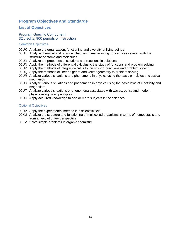### <span id="page-21-0"></span>**Program Objectives and Standards**

#### <span id="page-21-1"></span>**List of Objectives**

#### Program-Specific Component 32 credits, 900 periods of instruction

#### Common Objectives

- 00UK Analyze the organization, functioning and diversity of living beings
- 00UL Analyze chemical and physical changes in matter using concepts associated with the structure of atoms and molecules
- 00UM Analyze the properties of solutions and reactions in solutions
- 00UN Apply the methods of differential calculus to the study of functions and problem solving
- 00UP Apply the methods of integral calculus to the study of functions and problem solving
- 00UQ Apply the methods of linear algebra and vector geometry to problem solving
- 00UR Analyze various situations and phenomena in physics using the basic principles of classical mechanics
- 00US Analyze various situations and phenomena in physics using the basic laws of electricity and magnetism
- 00UT Analyze various situations or phenomena associated with waves, optics and modern physics using basic principles
- 00UU Apply acquired knowledge to one or more subjects in the sciences

#### Optional Objectives

- 00UV Apply the experimental method in a scientific field
- 00XU Analyze the structure and functioning of multicelled organisms in terms of homeostasis and from an evolutionary perspective
- 00XV Solve simple problems in organic chemistry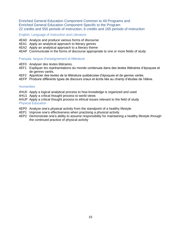Enriched General Education Component Common to All Programs and Enriched General Education Component Specific to the Program 22 credits and 555 periods of instruction, 6 credits and 165 periods of instruction

English, Language of Instruction and Literature

- 4EA0 Analyze and produce various forms of discourse
- 4EA1 Apply an analytical approach to literary genres
- 4EA2 Apply an analytical approach to a literary theme
- 4EAP Communicate in the forms of discourse appropriate to one or more fields of study

#### Français, langue d'enseignement et littérature

- 4EF0 Analyser des textes littéraires.
- 4EF1 Expliquer les représentations du monde contenues dans des textes littéraires d'époques et de genres variés.
- 4EF2 Apprécier des textes de la littérature québécoise d'époques et de genres variés.
- 4EFP Produire différents types de discours oraux et écrits liés au champ d'études de l'élève.

#### **Humanities**

- 4HU0 Apply a logical analytical process to how knowledge is organized and used
- 4HU1 Apply a critical thought process to world views
- 4HUP Apply a critical thought process to ethical issues relevant to the field of study Physical Education
- 4EP0 Analyze one's physical activity from the standpoint of a healthy lifestyle
- 4EP1 Improve one's effectiveness when practising a physical activity
- 4EP2 Demonstrate one's ability to assume responsibility for maintaining a healthy lifestyle through the continued practice of physical activity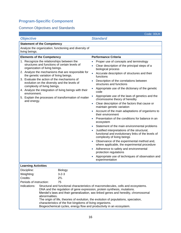### <span id="page-23-0"></span>**Program-Specific Component**

### Common Objectives and Standards

|                                                                                                                                                                                                                                                                                                                                                                                                                                                                                                                | Code: 00UK                                                                                                                                                                                                                                                                                                                                                                                                                                                                                                                                                                                                                                                                                                                                                                                                                                                                                                                                                                                                                                              |  |
|----------------------------------------------------------------------------------------------------------------------------------------------------------------------------------------------------------------------------------------------------------------------------------------------------------------------------------------------------------------------------------------------------------------------------------------------------------------------------------------------------------------|---------------------------------------------------------------------------------------------------------------------------------------------------------------------------------------------------------------------------------------------------------------------------------------------------------------------------------------------------------------------------------------------------------------------------------------------------------------------------------------------------------------------------------------------------------------------------------------------------------------------------------------------------------------------------------------------------------------------------------------------------------------------------------------------------------------------------------------------------------------------------------------------------------------------------------------------------------------------------------------------------------------------------------------------------------|--|
| <b>Objective</b>                                                                                                                                                                                                                                                                                                                                                                                                                                                                                               | <b>Standard</b>                                                                                                                                                                                                                                                                                                                                                                                                                                                                                                                                                                                                                                                                                                                                                                                                                                                                                                                                                                                                                                         |  |
| <b>Statement of the Competency</b>                                                                                                                                                                                                                                                                                                                                                                                                                                                                             |                                                                                                                                                                                                                                                                                                                                                                                                                                                                                                                                                                                                                                                                                                                                                                                                                                                                                                                                                                                                                                                         |  |
| Analyze the organization, functioning and diversity of<br>living beings.                                                                                                                                                                                                                                                                                                                                                                                                                                       |                                                                                                                                                                                                                                                                                                                                                                                                                                                                                                                                                                                                                                                                                                                                                                                                                                                                                                                                                                                                                                                         |  |
| <b>Elements of the Competency</b>                                                                                                                                                                                                                                                                                                                                                                                                                                                                              | <b>Performance Criteria</b>                                                                                                                                                                                                                                                                                                                                                                                                                                                                                                                                                                                                                                                                                                                                                                                                                                                                                                                                                                                                                             |  |
| 1. Recognize the relationships between the<br>structures and functions of certain levels of<br>organization of living beings.<br>2. Analyze the mechanisms that are responsible for<br>the genetic variation of living beings.<br>3. Evaluate the action of the mechanisms of<br>evolution on the diversity and the levels of<br>complexity of living beings.<br>4. Analyze the integration of living beings with their<br>environment.<br>5. Explain the processes of transformation of matter<br>and energy. | Proper use of concepts and terminology<br>Clear description of the principal steps of a<br>biological process<br>Accurate description of structures and their<br>functions<br>Description of the correlations between<br>structures and functions<br>Appropriate use of the dictionary of the genetic<br>code<br>Appropriate use of the laws of genetics and the<br>chromosome theory of heredity<br>Clear description of the factors that cause or<br>maintain genetic variation<br>Account of the main adaptations of organisms to<br>their environment<br>Presentation of the conditions for balance in an<br>ecosystem<br>Statement of the main environmental problems<br>Justified interpretations of the structural,<br>functional and evolutionary links of the levels of<br>complexity of living beings<br>Observance of the experimental method and,<br>where applicable, the experimental procedure<br>Adherence to safety and environmental<br>protection regulations<br>Appropriate use of techniques of observation and<br>experimentation |  |
| <b>Learning Activities</b>                                                                                                                                                                                                                                                                                                                                                                                                                                                                                     |                                                                                                                                                                                                                                                                                                                                                                                                                                                                                                                                                                                                                                                                                                                                                                                                                                                                                                                                                                                                                                                         |  |
| Discipline:<br><b>Biology</b><br>Weighting:<br>$3 - 2 - 3$<br>Credits:<br>$2\frac{2}{3}$<br>Periods of instruction:<br>75<br>Indications:<br>DNA and the regulation of gene expression, protein synthesis, mutations.<br>abnormalities.                                                                                                                                                                                                                                                                        | Structural and functional characteristics of macromolecules, cells and ecosystems.<br>Mendel's laws and their generalization, sex-linked genes and heredity, chromosomal                                                                                                                                                                                                                                                                                                                                                                                                                                                                                                                                                                                                                                                                                                                                                                                                                                                                                |  |
| The origin of life, theories of evolution, the evolution of populations, speciation,<br>characteristics of the five kingdoms of living organisms.                                                                                                                                                                                                                                                                                                                                                              |                                                                                                                                                                                                                                                                                                                                                                                                                                                                                                                                                                                                                                                                                                                                                                                                                                                                                                                                                                                                                                                         |  |

Biogeochemical cycles, energy flow and productivity in an ecosystem.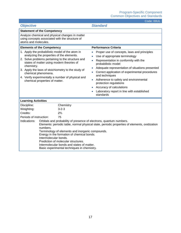|                                                                                                                                                                                                                                                                                                                                                                                                                                                                                                                                                                                         | Code: 00UL                                                                                                                                                                                                                                                                                                                                                                                                                     |  |
|-----------------------------------------------------------------------------------------------------------------------------------------------------------------------------------------------------------------------------------------------------------------------------------------------------------------------------------------------------------------------------------------------------------------------------------------------------------------------------------------------------------------------------------------------------------------------------------------|--------------------------------------------------------------------------------------------------------------------------------------------------------------------------------------------------------------------------------------------------------------------------------------------------------------------------------------------------------------------------------------------------------------------------------|--|
| <b>Objective</b>                                                                                                                                                                                                                                                                                                                                                                                                                                                                                                                                                                        | <b>Standard</b>                                                                                                                                                                                                                                                                                                                                                                                                                |  |
| <b>Statement of the Competency</b>                                                                                                                                                                                                                                                                                                                                                                                                                                                                                                                                                      |                                                                                                                                                                                                                                                                                                                                                                                                                                |  |
| Analyze chemical and physical changes in matter<br>using concepts associated with the structure of<br>atoms and molecules.                                                                                                                                                                                                                                                                                                                                                                                                                                                              |                                                                                                                                                                                                                                                                                                                                                                                                                                |  |
| <b>Elements of the Competency</b>                                                                                                                                                                                                                                                                                                                                                                                                                                                                                                                                                       | <b>Performance Criteria</b>                                                                                                                                                                                                                                                                                                                                                                                                    |  |
| 1. Apply the probabilistic model of the atom in<br>analyzing the properties of the elements.<br>2. Solve problems pertaining to the structure and<br>states of matter using modern theories of<br>chemistry.<br>3. Apply the laws of stoichiometry to the study of<br>chemical phenomena.<br>4. Verify experimentally a number of physical and<br>chemical properties of matter.                                                                                                                                                                                                        | Proper use of concepts, laws and principles<br>Use of appropriate terminology<br>Representation in conformity with the<br>probabilistic model<br>Adequate representation of situations presented<br>Correct application of experimental procedures<br>and techniques<br>Adherence to safety and environmental<br>protection regulations<br>Accuracy of calculations<br>Laboratory report in line with established<br>standards |  |
| <b>Learning Activities</b>                                                                                                                                                                                                                                                                                                                                                                                                                                                                                                                                                              |                                                                                                                                                                                                                                                                                                                                                                                                                                |  |
| Discipline:<br>Chemistry<br>Weighting:<br>$3 - 2 - 3$<br>$2\frac{2}{3}$<br>Credits:<br>Periods of instruction:<br>75<br>Indications:<br>Orbitals and probability of presence of electrons, quantum numbers.<br>Elements: periodic table, normal physical state, periodic properties of elements, oxidization<br>numbers.<br>Terminology of elements and inorganic compounds.<br>Energy in the formation of chemical bonds.<br>Intermolecular bonds.<br>Prediction of molecular structures.<br>Intermolecular bonds and states of matter.<br>Basic experimental techniques in chemistry. |                                                                                                                                                                                                                                                                                                                                                                                                                                |  |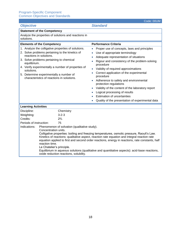| UDJECITVE                                                                                                                                                                                                                                                                                                                                                                                                                                                                                                                                                                       | Əldi ildi u                                                                                                                                                                                                                                                                                                                                                                                                                                                                                                                                                                                                                                   |
|---------------------------------------------------------------------------------------------------------------------------------------------------------------------------------------------------------------------------------------------------------------------------------------------------------------------------------------------------------------------------------------------------------------------------------------------------------------------------------------------------------------------------------------------------------------------------------|-----------------------------------------------------------------------------------------------------------------------------------------------------------------------------------------------------------------------------------------------------------------------------------------------------------------------------------------------------------------------------------------------------------------------------------------------------------------------------------------------------------------------------------------------------------------------------------------------------------------------------------------------|
| <b>Statement of the Competency</b>                                                                                                                                                                                                                                                                                                                                                                                                                                                                                                                                              |                                                                                                                                                                                                                                                                                                                                                                                                                                                                                                                                                                                                                                               |
| Analyze the properties of solutions and reactions in<br>solutions.                                                                                                                                                                                                                                                                                                                                                                                                                                                                                                              |                                                                                                                                                                                                                                                                                                                                                                                                                                                                                                                                                                                                                                               |
| <b>Elements of the Competency</b>                                                                                                                                                                                                                                                                                                                                                                                                                                                                                                                                               | <b>Performance Criteria</b>                                                                                                                                                                                                                                                                                                                                                                                                                                                                                                                                                                                                                   |
| 1. Analyze the colligative properties of solutions.<br>2. Solve problems pertaining to the kinetics of<br>reactions in solutions.<br>3. Solve problems pertaining to chemical<br>equilibrium.<br>4. Verify experimentally a number of properties of<br>solutions.<br>5. Determine experimentally a number of<br>characteristics of reactions in solutions.                                                                                                                                                                                                                      | Proper use of concepts, laws and principles<br>$\bullet$<br>Use of appropriate terminology<br>$\bullet$<br>Adequate representation of situations<br>$\bullet$<br>Rigour and consistency of the problem-solving<br>$\bullet$<br>procedure<br>Validity of required approximations<br>$\bullet$<br>Correct application of the experimental<br>$\bullet$<br>procedure<br>Adherence to safety and environmental<br>$\bullet$<br>protection regulations<br>Validity of the content of the laboratory report<br>Logical processing of results<br>$\bullet$<br><b>Estimation of uncertainties</b><br>Quality of the presentation of experimental data |
| <b>Learning Activities</b>                                                                                                                                                                                                                                                                                                                                                                                                                                                                                                                                                      |                                                                                                                                                                                                                                                                                                                                                                                                                                                                                                                                                                                                                                               |
| Discipline:<br>Chemistry<br>$3 - 2 - 3$                                                                                                                                                                                                                                                                                                                                                                                                                                                                                                                                         |                                                                                                                                                                                                                                                                                                                                                                                                                                                                                                                                                                                                                                               |
| Weighting:<br>Credits:<br>$2\frac{2}{3}$                                                                                                                                                                                                                                                                                                                                                                                                                                                                                                                                        |                                                                                                                                                                                                                                                                                                                                                                                                                                                                                                                                                                                                                                               |
| 75<br>Periods of instruction:                                                                                                                                                                                                                                                                                                                                                                                                                                                                                                                                                   |                                                                                                                                                                                                                                                                                                                                                                                                                                                                                                                                                                                                                                               |
| Indications:<br>Phenomenon of solvation (qualitative study).<br>Concentration units.<br>Colligative properties: boiling and freezing temperatures, osmotic pressure, Raoult's Law.<br>Kinetics of reactions: qualitative aspect, reaction rate equation and integral reaction rate<br>equation applied to first and second order reactions, energy in reactions, rate constants, half<br>reaction time.<br>Le Chatelier's principle.<br>Equilibrium in aqueous solutions (qualitative and quantitative aspects): acid-base reactions,<br>oxide reduction reactions, solubility. |                                                                                                                                                                                                                                                                                                                                                                                                                                                                                                                                                                                                                                               |

### *Objective Standard*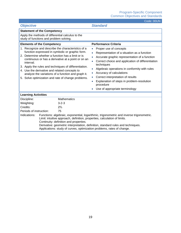| <b>Objective</b>                                                                                                                                                                                                                                                                                                                                                                                                                                    | <b>Standard</b>                                                                                                                                                                                                                                                                                                                                                                                                                                                                        |  |
|-----------------------------------------------------------------------------------------------------------------------------------------------------------------------------------------------------------------------------------------------------------------------------------------------------------------------------------------------------------------------------------------------------------------------------------------------------|----------------------------------------------------------------------------------------------------------------------------------------------------------------------------------------------------------------------------------------------------------------------------------------------------------------------------------------------------------------------------------------------------------------------------------------------------------------------------------------|--|
| <b>Statement of the Competency</b>                                                                                                                                                                                                                                                                                                                                                                                                                  |                                                                                                                                                                                                                                                                                                                                                                                                                                                                                        |  |
| Apply the methods of differential calculus to the<br>study of functions and problem solving.                                                                                                                                                                                                                                                                                                                                                        |                                                                                                                                                                                                                                                                                                                                                                                                                                                                                        |  |
| <b>Elements of the Competency</b>                                                                                                                                                                                                                                                                                                                                                                                                                   | <b>Performance Criteria</b>                                                                                                                                                                                                                                                                                                                                                                                                                                                            |  |
| 1. Recognize and describe the characteristics of a<br>function expressed in symbolic or graphic form.<br>2. Determine whether a function has a limit or is<br>continuous or has a derivative at a point or on an<br>interval.<br>3. Apply the rules and techniques of differentiation.<br>4. Use the derivative and related concepts to<br>analyze the variations of a function and graph it.<br>5. Solve optimization and rate of change problems. | Proper use of concepts<br>$\bullet$<br>Representation of a situation as a function<br>$\bullet$<br>Accurate graphic representation of a function<br>Correct choice and application of differentiation<br>$\bullet$<br>techniques<br>Algebraic operations in conformity with rules<br>$\bullet$<br>Accuracy of calculations<br>$\bullet$<br>Correct interpretation of results<br>Explanation of steps in problem-resolution<br>$\bullet$<br>procedure<br>Use of appropriate terminology |  |
| <b>Learning Activities</b>                                                                                                                                                                                                                                                                                                                                                                                                                          |                                                                                                                                                                                                                                                                                                                                                                                                                                                                                        |  |
| <b>Mathematics</b><br>Discipline:<br>Weighting:<br>$3 - 2 - 3$<br>Credits:<br>$2\frac{2}{3}$                                                                                                                                                                                                                                                                                                                                                        |                                                                                                                                                                                                                                                                                                                                                                                                                                                                                        |  |
| Periods of instruction:<br>75                                                                                                                                                                                                                                                                                                                                                                                                                       |                                                                                                                                                                                                                                                                                                                                                                                                                                                                                        |  |
| Indications:<br>Functions: algebraic, exponential, logarithmic, trigonometric and inverse trigonometric.<br>Limit: intuitive approach, definition, properties, calculation of limits.<br>Continuity: definition and properties.<br>Derivative: geometric interpretation, definition, standard rules and techniques.<br>Applications: study of curves, optimization problems, rates of change.                                                       |                                                                                                                                                                                                                                                                                                                                                                                                                                                                                        |  |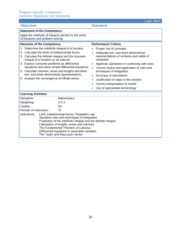| <b>Objective</b>                                                                                                                                                                                                                                                                                                                                                |                                                                                          | <b>Standard</b>                                                                                             |
|-----------------------------------------------------------------------------------------------------------------------------------------------------------------------------------------------------------------------------------------------------------------------------------------------------------------------------------------------------------------|------------------------------------------------------------------------------------------|-------------------------------------------------------------------------------------------------------------|
|                                                                                                                                                                                                                                                                                                                                                                 | <b>Statement of the Competency</b>                                                       |                                                                                                             |
|                                                                                                                                                                                                                                                                                                                                                                 | Apply the methods of integral calculus to the study<br>of functions and problem solving. |                                                                                                             |
|                                                                                                                                                                                                                                                                                                                                                                 | <b>Elements of the Competency</b>                                                        | <b>Performance Criteria</b>                                                                                 |
|                                                                                                                                                                                                                                                                                                                                                                 | 1. Determine the indefinite integral of a function.                                      | Proper use of concepts<br>$\bullet$                                                                         |
| 2. Calculate the limits of indeterminate forms.<br>3. Calculate the definite integral and the improper<br>integral of a function on an interval.                                                                                                                                                                                                                |                                                                                          | Adequate two- and three-dimensional<br>$\bullet$<br>representations of surfaces and solids of<br>revolution |
|                                                                                                                                                                                                                                                                                                                                                                 | 4. Express concrete problems as differential                                             | Algebraic operations in conformity with rules<br>$\bullet$                                                  |
| equations and solve simple differential equations.<br>5. Calculate volumes, areas and lengths and draw                                                                                                                                                                                                                                                          |                                                                                          | Correct choice and application of rules and<br>$\bullet$<br>techniques of integration                       |
|                                                                                                                                                                                                                                                                                                                                                                 | two- and three-dimensional representations.                                              | Accuracy of calculations<br>$\bullet$                                                                       |
|                                                                                                                                                                                                                                                                                                                                                                 | 6. Analyze the convergence of infinite series.                                           | Justification of steps in the solution<br>$\bullet$                                                         |
|                                                                                                                                                                                                                                                                                                                                                                 |                                                                                          | Correct interpretation of results                                                                           |
|                                                                                                                                                                                                                                                                                                                                                                 |                                                                                          | Use of appropriate terminology                                                                              |
| <b>Learning Activities</b>                                                                                                                                                                                                                                                                                                                                      |                                                                                          |                                                                                                             |
| Discipline:                                                                                                                                                                                                                                                                                                                                                     | <b>Mathematics</b>                                                                       |                                                                                                             |
| Weighting:                                                                                                                                                                                                                                                                                                                                                      | $3 - 2 - 3$                                                                              |                                                                                                             |
| Credits:                                                                                                                                                                                                                                                                                                                                                        | $2\frac{2}{3}$                                                                           |                                                                                                             |
| Periods of instruction:                                                                                                                                                                                                                                                                                                                                         | 75                                                                                       |                                                                                                             |
| Limit: indeterminate forms, l'Hospital's rule.<br>Indications:<br>Standard rules and techniques of integration.<br>Properties of the indefinite integral and the definite integral.<br>Calculation of lengths, areas and volumes.<br>The Fundamental Theorem of Calculus.<br>Differential equations in separable variables.<br>The Taylor and MacLaurin series. |                                                                                          |                                                                                                             |

Code: 00UP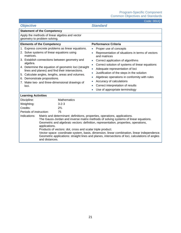| <b>Objective</b>                                                                                                                                                                                                                                                                                                                                                                                                                                                                                                                                                                                                                                                                             | <b>Standard</b>                                                                                                                                                                                                                                                                                                                                                                                                                                                                                                                              |  |
|----------------------------------------------------------------------------------------------------------------------------------------------------------------------------------------------------------------------------------------------------------------------------------------------------------------------------------------------------------------------------------------------------------------------------------------------------------------------------------------------------------------------------------------------------------------------------------------------------------------------------------------------------------------------------------------------|----------------------------------------------------------------------------------------------------------------------------------------------------------------------------------------------------------------------------------------------------------------------------------------------------------------------------------------------------------------------------------------------------------------------------------------------------------------------------------------------------------------------------------------------|--|
| <b>Statement of the Competency</b>                                                                                                                                                                                                                                                                                                                                                                                                                                                                                                                                                                                                                                                           |                                                                                                                                                                                                                                                                                                                                                                                                                                                                                                                                              |  |
| Apply the methods of linear algebra and vector<br>geometry to problem solving.                                                                                                                                                                                                                                                                                                                                                                                                                                                                                                                                                                                                               |                                                                                                                                                                                                                                                                                                                                                                                                                                                                                                                                              |  |
| <b>Elements of the Competency</b>                                                                                                                                                                                                                                                                                                                                                                                                                                                                                                                                                                                                                                                            | <b>Performance Criteria</b>                                                                                                                                                                                                                                                                                                                                                                                                                                                                                                                  |  |
| 1. Express concrete problems as linear equations.<br>2. Solve systems of linear equations using<br>matrices.<br>3. Establish connections between geometry and<br>algebra.<br>4. Determine the equation of geometric loci (straight<br>lines and planes) and find their intersections.<br>5. Calculate angles, lengths, areas and volumes.<br>6. Demonstrate propositions.<br>7. Make two- and three-dimensional drawings of<br>loci.                                                                                                                                                                                                                                                         | Proper use of concepts<br>$\bullet$<br>Representation of situations in terms of vectors<br>$\bullet$<br>and matrices<br>Correct application of algorithms<br>$\bullet$<br>Correct solution of systems of linear equations<br>$\bullet$<br>Adequate representation of loci<br>$\bullet$<br>Justification of the steps in the solution<br>$\bullet$<br>Algebraic operations in conformity with rules<br>$\bullet$<br>Accuracy of calculations<br>$\bullet$<br>Correct interpretation of results<br>$\bullet$<br>Use of appropriate terminology |  |
| <b>Learning Activities</b>                                                                                                                                                                                                                                                                                                                                                                                                                                                                                                                                                                                                                                                                   |                                                                                                                                                                                                                                                                                                                                                                                                                                                                                                                                              |  |
| <b>Mathematics</b><br>Discipline:<br>Weighting:<br>$3 - 2 - 3$<br>Credits:<br>$2\frac{2}{3}$<br>Periods of instruction:<br>75<br>Indications:<br>Matrix and determinant: definitions, properties, operations, applications.<br>The Gauss-Jordan and inverse matrix methods of solving systems of linear equations.<br>Geometric and algebraic vectors: definition, representation, properties, operations,<br>applications.<br>Products of vectors: dot, cross and scalar triple product.<br>Vector space: coordinate system, basis, dimension, linear combination, linear independence.<br>Geometric applications: straight lines and planes, intersections of loci, calculations of angles |                                                                                                                                                                                                                                                                                                                                                                                                                                                                                                                                              |  |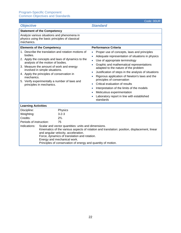|                                                                                                                                                                                                                                                                                                                                                                                                                                                                                  | Code: 00UR                                                                                                                                                                                                                                                                                                                                                                                                                                                                                                                            |
|----------------------------------------------------------------------------------------------------------------------------------------------------------------------------------------------------------------------------------------------------------------------------------------------------------------------------------------------------------------------------------------------------------------------------------------------------------------------------------|---------------------------------------------------------------------------------------------------------------------------------------------------------------------------------------------------------------------------------------------------------------------------------------------------------------------------------------------------------------------------------------------------------------------------------------------------------------------------------------------------------------------------------------|
| <b>Objective</b>                                                                                                                                                                                                                                                                                                                                                                                                                                                                 | <b>Standard</b>                                                                                                                                                                                                                                                                                                                                                                                                                                                                                                                       |
| <b>Statement of the Competency</b>                                                                                                                                                                                                                                                                                                                                                                                                                                               |                                                                                                                                                                                                                                                                                                                                                                                                                                                                                                                                       |
| Analyze various situations and phenomena in<br>physics using the basic principles of classical<br>mechanics.                                                                                                                                                                                                                                                                                                                                                                     |                                                                                                                                                                                                                                                                                                                                                                                                                                                                                                                                       |
| <b>Elements of the Competency</b>                                                                                                                                                                                                                                                                                                                                                                                                                                                | <b>Performance Criteria</b>                                                                                                                                                                                                                                                                                                                                                                                                                                                                                                           |
| 1. Describe the translation and rotation motions of<br>bodies.<br>2. Apply the concepts and laws of dynamics to the<br>analysis of the motion of bodies.<br>3. Measure the amount of work and energy<br>involved in simple situations.<br>4. Apply the principles of conservation in<br>mechanics.<br>5. Verify experimentally a number of laws and<br>principles in mechanics.                                                                                                  | Proper use of concepts, laws and principles<br>Adequate representation of situations in physics<br>Use of appropriate terminology<br>Graphic and mathematical representations<br>adapted to the nature of the problem<br>Justification of steps in the analysis of situations<br>Rigorous application of Newton's laws and the<br>principles of conservation<br>Critical evaluation of results<br>Interpretation of the limits of the models<br>Meticulous experimentation<br>Laboratory report in line with established<br>standards |
| <b>Learning Activities</b>                                                                                                                                                                                                                                                                                                                                                                                                                                                       |                                                                                                                                                                                                                                                                                                                                                                                                                                                                                                                                       |
| Physics<br>Discipline:<br>$3 - 2 - 3$<br>Weighting:<br>Credits:<br>$2\frac{2}{3}$<br>Periods of instruction:<br>75<br>Indications:<br>Scalar and vector quantities: units and dimensions.<br>Kinematics of the various aspects of rotation and translation: position, displacement, linear<br>and angular velocity, acceleration.<br>Force, dynamics of translation and rotation.<br>Energy and mechanical work.<br>Principles of conservation of energy and quantity of motion. |                                                                                                                                                                                                                                                                                                                                                                                                                                                                                                                                       |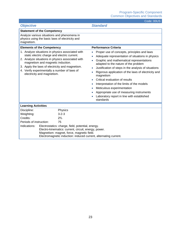|                                                                                                                                                                                                                                                                                                                            |                | Code: UUUS                                                                                                                                                                                                                                                                                                                                                                                                                                                                                                                                                                  |
|----------------------------------------------------------------------------------------------------------------------------------------------------------------------------------------------------------------------------------------------------------------------------------------------------------------------------|----------------|-----------------------------------------------------------------------------------------------------------------------------------------------------------------------------------------------------------------------------------------------------------------------------------------------------------------------------------------------------------------------------------------------------------------------------------------------------------------------------------------------------------------------------------------------------------------------------|
| <b>Objective</b>                                                                                                                                                                                                                                                                                                           |                | <b>Standard</b>                                                                                                                                                                                                                                                                                                                                                                                                                                                                                                                                                             |
| <b>Statement of the Competency</b>                                                                                                                                                                                                                                                                                         |                |                                                                                                                                                                                                                                                                                                                                                                                                                                                                                                                                                                             |
| Analyze various situations and phenomena in<br>physics using the basic laws of electricity and<br>magnetism.                                                                                                                                                                                                               |                |                                                                                                                                                                                                                                                                                                                                                                                                                                                                                                                                                                             |
| <b>Elements of the Competency</b>                                                                                                                                                                                                                                                                                          |                | <b>Performance Criteria</b>                                                                                                                                                                                                                                                                                                                                                                                                                                                                                                                                                 |
| 1. Analyze situations in physics associated with<br>static electric charge and electric current.<br>2. Analyze situations in physics associated with<br>magnetism and magnetic induction.<br>3. Apply the laws of electricity and magnetism.<br>4. Verify experimentally a number of laws of<br>electricity and magnetism. |                | Proper use of concepts, principles and laws<br>Adequate representation of situations in physics<br>$\bullet$<br>Graphic and mathematical representations<br>adapted to the nature of the problem<br>Justification of steps in the analysis of situations<br>Rigorous application of the laws of electricity and<br>$\bullet$<br>magnetism<br>Critical evaluation of results<br>Interpretation of the limits of the models<br>Meticulous experimentation<br>$\bullet$<br>Appropriate use of measuring instruments<br>Laboratory report in line with established<br>standards |
| <b>Learning Activities</b>                                                                                                                                                                                                                                                                                                 |                |                                                                                                                                                                                                                                                                                                                                                                                                                                                                                                                                                                             |
| Discipline:                                                                                                                                                                                                                                                                                                                | Physics        |                                                                                                                                                                                                                                                                                                                                                                                                                                                                                                                                                                             |
| Weighting:                                                                                                                                                                                                                                                                                                                 | $3 - 2 - 3$    |                                                                                                                                                                                                                                                                                                                                                                                                                                                                                                                                                                             |
| Credits:                                                                                                                                                                                                                                                                                                                   | $2\frac{2}{3}$ |                                                                                                                                                                                                                                                                                                                                                                                                                                                                                                                                                                             |
| Periods of instruction:<br>75                                                                                                                                                                                                                                                                                              |                |                                                                                                                                                                                                                                                                                                                                                                                                                                                                                                                                                                             |
| Indications:<br>Electrostatics: charge, field, potential, energy.<br>Electro-kinematics: current, circuit, energy, power.<br>Magnetism: magnet, force, magnetic field.<br>Electromagnetic induction: induced current, alternating current.                                                                                 |                |                                                                                                                                                                                                                                                                                                                                                                                                                                                                                                                                                                             |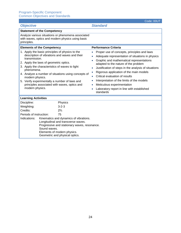| <b>Objective</b>                                                                                                                                                                                                                                                                                                                                                                                                          | <b>Standard</b>                                                                                                                                                                                                                                                                                                                                                                                                                                                                           |
|---------------------------------------------------------------------------------------------------------------------------------------------------------------------------------------------------------------------------------------------------------------------------------------------------------------------------------------------------------------------------------------------------------------------------|-------------------------------------------------------------------------------------------------------------------------------------------------------------------------------------------------------------------------------------------------------------------------------------------------------------------------------------------------------------------------------------------------------------------------------------------------------------------------------------------|
| <b>Statement of the Competency</b>                                                                                                                                                                                                                                                                                                                                                                                        |                                                                                                                                                                                                                                                                                                                                                                                                                                                                                           |
| Analyze various situations or phenomena associated<br>with waves, optics and modern physics using basic<br>principles.                                                                                                                                                                                                                                                                                                    |                                                                                                                                                                                                                                                                                                                                                                                                                                                                                           |
| <b>Elements of the Competency</b>                                                                                                                                                                                                                                                                                                                                                                                         | <b>Performance Criteria</b>                                                                                                                                                                                                                                                                                                                                                                                                                                                               |
| 1. Apply the basic principles of physics to the<br>description of vibrations and waves and their<br>transmission.<br>2. Apply the laws of geometric optics.<br>3. Apply the characteristics of waves to light<br>phenomena.<br>4. Analyze a number of situations using concepts of<br>modern physics.<br>5. Verify experimentally a number of laws and<br>principles associated with waves, optics and<br>modern physics. | Proper use of concepts, principles and laws<br>Adequate representation of situations in physics<br>Graphic and mathematical representations<br>adapted to the nature of the problem<br>Justification of steps in the analysis of situations<br>$\bullet$<br>Rigorous application of the main models<br>Critical evaluation of results<br>Interpretation of the limits of the models<br>$\bullet$<br>Meticulous experimentation<br>Laboratory report in line with established<br>standards |
| <b>Learning Activities</b>                                                                                                                                                                                                                                                                                                                                                                                                |                                                                                                                                                                                                                                                                                                                                                                                                                                                                                           |
| Discipline:<br>Physics<br>Weighting:<br>$3 - 2 - 3$<br>Credits:<br>$2^{2}/3$<br>Periods of instruction:<br>75<br>Indications:<br>Kinematics and dynamics of vibrations.<br>Longitudinal and transverse waves.<br>Progressive and stationary waves, resonance.<br>Sound waves.<br>Elements of modern physics.<br>Geometric and physical optics.                                                                            |                                                                                                                                                                                                                                                                                                                                                                                                                                                                                           |

Code: 00UT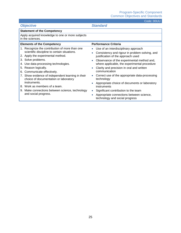Code: 00UU

| <b>Objective</b>                                                                                                                                                                                                                                                                                                                                                                                           | <b>Standard</b>                                                                                                                                                                                                                                                                                                                                                                                                          |
|------------------------------------------------------------------------------------------------------------------------------------------------------------------------------------------------------------------------------------------------------------------------------------------------------------------------------------------------------------------------------------------------------------|--------------------------------------------------------------------------------------------------------------------------------------------------------------------------------------------------------------------------------------------------------------------------------------------------------------------------------------------------------------------------------------------------------------------------|
| <b>Statement of the Competency</b>                                                                                                                                                                                                                                                                                                                                                                         |                                                                                                                                                                                                                                                                                                                                                                                                                          |
| Apply acquired knowledge to one or more subjects<br>in the sciences.                                                                                                                                                                                                                                                                                                                                       |                                                                                                                                                                                                                                                                                                                                                                                                                          |
| <b>Elements of the Competency</b>                                                                                                                                                                                                                                                                                                                                                                          | <b>Performance Criteria</b>                                                                                                                                                                                                                                                                                                                                                                                              |
| 1. Recognize the contribution of more than one<br>scientific discipline to certain situations.<br>2. Apply the experimental method.<br>3. Solve problems.<br>4. Use data-processing technologies.<br>5. Reason logically.<br>Communicate effectively.<br>6.<br>7. Show evidence of independent learning in their<br>choice of documentation or laboratory<br>instruments.<br>8. Work as members of a team. | Use of an interdisciplinary approach<br>Consistency and rigour in problem-solving, and<br>justification of the approach used<br>Observance of the experimental method and,<br>where applicable, the experimental procedure<br>Clarity and precision in oral and written<br>communication<br>Correct use of the appropriate data-processing<br>technology<br>Appropriate choice of documents or laboratory<br>instruments |
| 9. Make connections between science, technology<br>and social progress.                                                                                                                                                                                                                                                                                                                                    | Significant contribution to the team<br>$\bullet$<br>Appropriate connections between science,<br>technology and social progress                                                                                                                                                                                                                                                                                          |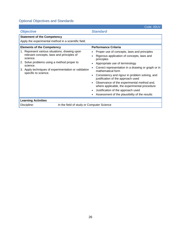### Optional Objectives and Standards

|                                                                                                                                                                                                                                                  | Code: 00UV                                                                                                                                                                                                                                                                                                                                                                                                                                                                                        |
|--------------------------------------------------------------------------------------------------------------------------------------------------------------------------------------------------------------------------------------------------|---------------------------------------------------------------------------------------------------------------------------------------------------------------------------------------------------------------------------------------------------------------------------------------------------------------------------------------------------------------------------------------------------------------------------------------------------------------------------------------------------|
| <b>Objective</b>                                                                                                                                                                                                                                 | <b>Standard</b>                                                                                                                                                                                                                                                                                                                                                                                                                                                                                   |
| <b>Statement of the Competency</b>                                                                                                                                                                                                               |                                                                                                                                                                                                                                                                                                                                                                                                                                                                                                   |
| Apply the experimental method in a scientific field.                                                                                                                                                                                             |                                                                                                                                                                                                                                                                                                                                                                                                                                                                                                   |
| <b>Elements of the Competency</b>                                                                                                                                                                                                                | <b>Performance Criteria</b>                                                                                                                                                                                                                                                                                                                                                                                                                                                                       |
| 1. Represent various situations, drawing upon<br>relevant concepts, laws and principles of<br>science.<br>2. Solve problems using a method proper to<br>science.<br>3. Apply techniques of experimentation or validation<br>specific to science. | Proper use of concepts, laws and principles<br>Rigorous application of concepts, laws and<br>principles<br>Appropriate use of terminology<br>Correct representation in a drawing or graph or in<br>mathematical form<br>Consistency and rigour in problem solving, and<br>justification of the approach used<br>Observance of the experimental method and,<br>where applicable, the experimental procedure<br>Justification of the approach used<br>Assessment of the plausibility of the results |
| <b>Learning Activities</b>                                                                                                                                                                                                                       |                                                                                                                                                                                                                                                                                                                                                                                                                                                                                                   |
| In the field of study or Computer Science<br>Discipline:                                                                                                                                                                                         |                                                                                                                                                                                                                                                                                                                                                                                                                                                                                                   |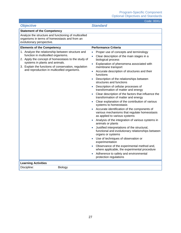|                                                                                                                                                                                                                                                                                        | UUUT. UUAU                                                                                                                                                                                                                                                                                                                                                                                                                                                                                                                                                                                                                                                                                                                                                                                                                                                                                                                                                                                                                                                                                                                                               |
|----------------------------------------------------------------------------------------------------------------------------------------------------------------------------------------------------------------------------------------------------------------------------------------|----------------------------------------------------------------------------------------------------------------------------------------------------------------------------------------------------------------------------------------------------------------------------------------------------------------------------------------------------------------------------------------------------------------------------------------------------------------------------------------------------------------------------------------------------------------------------------------------------------------------------------------------------------------------------------------------------------------------------------------------------------------------------------------------------------------------------------------------------------------------------------------------------------------------------------------------------------------------------------------------------------------------------------------------------------------------------------------------------------------------------------------------------------|
| <b>Objective</b>                                                                                                                                                                                                                                                                       | <b>Standard</b>                                                                                                                                                                                                                                                                                                                                                                                                                                                                                                                                                                                                                                                                                                                                                                                                                                                                                                                                                                                                                                                                                                                                          |
| <b>Statement of the Competency</b>                                                                                                                                                                                                                                                     |                                                                                                                                                                                                                                                                                                                                                                                                                                                                                                                                                                                                                                                                                                                                                                                                                                                                                                                                                                                                                                                                                                                                                          |
| Analyze the structure and functioning of multicelled<br>organisms in terms of homeostasis and from an<br>evolutionary perspective.                                                                                                                                                     |                                                                                                                                                                                                                                                                                                                                                                                                                                                                                                                                                                                                                                                                                                                                                                                                                                                                                                                                                                                                                                                                                                                                                          |
| <b>Elements of the Competency</b>                                                                                                                                                                                                                                                      | <b>Performance Criteria</b>                                                                                                                                                                                                                                                                                                                                                                                                                                                                                                                                                                                                                                                                                                                                                                                                                                                                                                                                                                                                                                                                                                                              |
| 1. Analyze the relationship between structure and<br>function in multicelled organisms.<br>2. Apply the concept of homeostasis to the study of<br>systems in plants and animals.<br>3. Explain the functions of conservation, regulation<br>and reproduction in multicelled organisms. | Proper use of concepts and terminology<br>Clear description of the main stages in a<br>$\bullet$<br>biological process<br>Explanation of phenomena associated with<br>membrane transport<br>Accurate description of structures and their<br>functions<br>Description of the relationships between<br>structures and functions<br>Description of cellular processes of<br>transformation of matter and energy<br>Clear description of the factors that influence the<br>transformation of matter and energy<br>Clear explanation of the contribution of various<br>systems to homeostasis<br>Accurate identification of the components of<br>various mechanisms that regulate homeostasis<br>as applied to various systems<br>Analysis of the integration of various systems in<br>animals or plants<br>Justified interpretations of the structural,<br>functional and evolutionary relationships between<br>organs or systems<br>Use of techniques of observation or<br>experimentation<br>Observance of the experimental method and,<br>where applicable, the experimental procedure<br>Adherence to safety and environmental<br>protection regulations |
| <b>Learning Activities</b>                                                                                                                                                                                                                                                             |                                                                                                                                                                                                                                                                                                                                                                                                                                                                                                                                                                                                                                                                                                                                                                                                                                                                                                                                                                                                                                                                                                                                                          |
| Discipline:<br>Biology                                                                                                                                                                                                                                                                 |                                                                                                                                                                                                                                                                                                                                                                                                                                                                                                                                                                                                                                                                                                                                                                                                                                                                                                                                                                                                                                                                                                                                                          |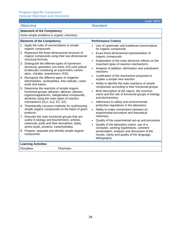| <b>Objective</b>                                                                                                                                                                                                                                                                                                                                                                                                                                                                                                                                                                                                                                                                                                                                                                                                                                                                                                                                                                                      | <b>Standard</b>                                                                                                                                                                                                                                                                                                                                                                                                                                                                                                                                                                                                                                                                                                                                                                                                                                                                              |
|-------------------------------------------------------------------------------------------------------------------------------------------------------------------------------------------------------------------------------------------------------------------------------------------------------------------------------------------------------------------------------------------------------------------------------------------------------------------------------------------------------------------------------------------------------------------------------------------------------------------------------------------------------------------------------------------------------------------------------------------------------------------------------------------------------------------------------------------------------------------------------------------------------------------------------------------------------------------------------------------------------|----------------------------------------------------------------------------------------------------------------------------------------------------------------------------------------------------------------------------------------------------------------------------------------------------------------------------------------------------------------------------------------------------------------------------------------------------------------------------------------------------------------------------------------------------------------------------------------------------------------------------------------------------------------------------------------------------------------------------------------------------------------------------------------------------------------------------------------------------------------------------------------------|
| <b>Statement of the Competency</b>                                                                                                                                                                                                                                                                                                                                                                                                                                                                                                                                                                                                                                                                                                                                                                                                                                                                                                                                                                    |                                                                                                                                                                                                                                                                                                                                                                                                                                                                                                                                                                                                                                                                                                                                                                                                                                                                                              |
| Solve simple problems in organic chemistry.                                                                                                                                                                                                                                                                                                                                                                                                                                                                                                                                                                                                                                                                                                                                                                                                                                                                                                                                                           |                                                                                                                                                                                                                                                                                                                                                                                                                                                                                                                                                                                                                                                                                                                                                                                                                                                                                              |
| <b>Elements of the Competency</b>                                                                                                                                                                                                                                                                                                                                                                                                                                                                                                                                                                                                                                                                                                                                                                                                                                                                                                                                                                     | <b>Performance Criteria</b>                                                                                                                                                                                                                                                                                                                                                                                                                                                                                                                                                                                                                                                                                                                                                                                                                                                                  |
| 1. Apply the rules of nomenclature to simple<br>organic compounds.<br>2. Represent the three-dimensional structure of<br>organic compounds using their two-dimensional<br>structural formula.<br>3. Distinguish the different types of isomerism:<br>structural, geometric (cis-trans, E/Z) and optical<br>(molecules containing an asymmetric carbon<br>atom, chirality, enantiomers, R/S).<br>4. Recognize the different types of reagents:<br>electrophiles, nucleophiles, free radicals, Lewis<br>acids and bases.<br>5. Determine the reactivity of simple organic<br>functional groups (alkanes, alkenes, alkynes,<br>organomagnesiums, halogenated compounds,<br>alcohols) using the main types of reaction<br>mechanisms (S <sub>N</sub> 1, S <sub>N</sub> 2, E1, E2).<br>6. Theoretically conceive methods for synthesizing<br>simple organic compounds on the basis of given<br>products.<br>7. Describe the main functional groups that are<br>useful in biology and biochemistry: amines, | Use of systematic and traditional nomenclature<br>for organic compounds<br>Exact three-dimensional representation of<br>$\bullet$<br>organic compounds<br>Explanation of the main electronic effects on the<br>important types of reaction mechanisms<br>Analysis of addition, elimination and substitution<br>reactions<br>Justification of the mechanism proposed to<br>explain a simple new reaction<br>Ability to identify the main reactions of simple<br>compounds according to their functional groups<br>Brief description of the nature, the common<br>name and the role of functional groups in biology<br>and biochemistry<br>Adherence to safety and environmental<br>protection regulations in the laboratory<br>Ability to make connections between an<br>$\bullet$<br>experimental procedure and theoretical<br>chemistry<br>Quality of the experimental set-up and procedure |
| carboxylic acids and their derivatives, lipids,<br>amino acids, proteins, carbohydrates.                                                                                                                                                                                                                                                                                                                                                                                                                                                                                                                                                                                                                                                                                                                                                                                                                                                                                                              | Quality of the laboratory report: use of a<br>$\bullet$<br>computer, working hypotheses, coherent                                                                                                                                                                                                                                                                                                                                                                                                                                                                                                                                                                                                                                                                                                                                                                                            |
| 8. Prepare, separate and identify simple organic<br>compounds.                                                                                                                                                                                                                                                                                                                                                                                                                                                                                                                                                                                                                                                                                                                                                                                                                                                                                                                                        | presentation, analysis and discussion of the<br>results, clarity and quality of the language,<br>bibliography                                                                                                                                                                                                                                                                                                                                                                                                                                                                                                                                                                                                                                                                                                                                                                                |
| <b>Learning Activities</b>                                                                                                                                                                                                                                                                                                                                                                                                                                                                                                                                                                                                                                                                                                                                                                                                                                                                                                                                                                            |                                                                                                                                                                                                                                                                                                                                                                                                                                                                                                                                                                                                                                                                                                                                                                                                                                                                                              |
| Discipline:<br>Chemistry                                                                                                                                                                                                                                                                                                                                                                                                                                                                                                                                                                                                                                                                                                                                                                                                                                                                                                                                                                              |                                                                                                                                                                                                                                                                                                                                                                                                                                                                                                                                                                                                                                                                                                                                                                                                                                                                                              |

Code: 00XV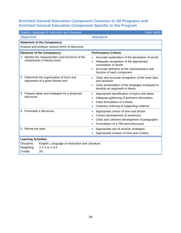<span id="page-36-0"></span>

| English, Language of Instruction and Literature                                                                              | Code: 4EA0                                                                                                                                                                              |
|------------------------------------------------------------------------------------------------------------------------------|-----------------------------------------------------------------------------------------------------------------------------------------------------------------------------------------|
| <b>Objective</b>                                                                                                             | <b>Standard</b>                                                                                                                                                                         |
| <b>Statement of the Competency</b>                                                                                           |                                                                                                                                                                                         |
| Analyze and produce various forms of discourse.                                                                              |                                                                                                                                                                                         |
| <b>Elements of the Competency</b>                                                                                            | <b>Performance Criteria</b>                                                                                                                                                             |
| 1. Identify the characteristics and functions of the<br>components of literary texts.                                        | Accurate explanation of the denotation of words<br>Adequate recognition of the appropriate<br>connotation of words<br>Accurate definition of the characteristics and                    |
|                                                                                                                              | function of each component                                                                                                                                                              |
| 2. Determine the organization of facts and<br>arguments of a given literary text.                                            | Clear and accurate recognition of the main idea<br>and structure<br>Clear presentation of the strategies employed to                                                                    |
|                                                                                                                              | develop an argument or thesis                                                                                                                                                           |
| 3. Prepare ideas and strategies for a projected<br>discourse.                                                                | Appropriate identification of topics and ideas<br>$\bullet$<br>Adequate gathering of pertinent information<br>Clear formulation of a thesis<br>Coherent ordering of supporting material |
| 4. Formulate a discourse.                                                                                                    | Appropriate choice of tone and diction<br>$\bullet$<br>Correct development of sentences<br>Clear and coherent development of paragraphs<br>Formulation of a 750-word discourse          |
| 5. Revise the work.                                                                                                          | Appropriate use of revision strategies<br>$\bullet$<br>Appropriate revision of form and content                                                                                         |
| <b>Learning Activities</b>                                                                                                   |                                                                                                                                                                                         |
| Discipline:<br>English, Language of Instruction and Literature<br>2-2-4 or 1-3-4<br>Weighting:<br>Credits:<br>$2\frac{2}{3}$ |                                                                                                                                                                                         |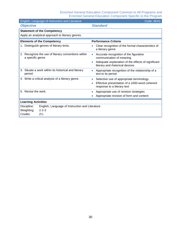| English, Language of Instruction and Literature                          | Code: 4EA1                                                                                         |
|--------------------------------------------------------------------------|----------------------------------------------------------------------------------------------------|
| <b>Objective</b>                                                         | <b>Standard</b>                                                                                    |
| <b>Statement of the Competency</b>                                       |                                                                                                    |
| Apply an analytical approach to literary genres.                         |                                                                                                    |
| <b>Elements of the Competency</b>                                        | <b>Performance Criteria</b>                                                                        |
| 1. Distinguish genres of literary texts.                                 | Clear recognition of the formal characteristics of<br>a literary genre                             |
| 2. Recognize the use of literary conventions within<br>a specific genre. | Accurate recognition of the figurative<br>$\bullet$<br>communication of meaning                    |
|                                                                          | Adequate explanation of the effects of significant<br>$\bullet$<br>literary and rhetorical devices |
| 3. Situate a work within its historical and literary<br>period.          | Appropriate recognition of the relationship of a<br>$\bullet$<br>text to its period                |
| 4. Write a critical analysis of a literary genre.                        | Selective use of appropriate terminology<br>$\bullet$                                              |
|                                                                          | Effective presentation of a 1000-word coherent<br>$\bullet$<br>response to a literary text         |
| 5. Revise the work.                                                      | Appropriate use of revision strategies<br>$\bullet$                                                |
|                                                                          | Appropriate revision of form and content                                                           |
| <b>Learning Activities</b>                                               |                                                                                                    |
| English, Language of Instruction and Literature<br>Discipline:           |                                                                                                    |
| $2 - 2 - 3$<br>Weighting:                                                |                                                                                                    |
| Credits:<br>$2\frac{1}{3}$                                               |                                                                                                    |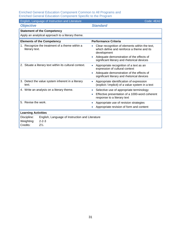| English, Language of Instruction and Literature                  | Code: 4EA2                                                                                                                |
|------------------------------------------------------------------|---------------------------------------------------------------------------------------------------------------------------|
| <b>Objective</b>                                                 | <b>Standard</b>                                                                                                           |
| <b>Statement of the Competency</b>                               |                                                                                                                           |
| Apply an analytical approach to a literary theme.                |                                                                                                                           |
| <b>Elements of the Competency</b>                                | <b>Performance Criteria</b>                                                                                               |
| 1. Recognize the treatment of a theme within a<br>literary text. | Clear recognition of elements within the text,<br>which define and reinforce a theme and its<br>development               |
|                                                                  | Adequate demonstration of the effects of<br>significant literary and rhetorical devices                                   |
| 2. Situate a literary text within its cultural context.          | Appropriate recognition of a text as an<br>$\bullet$<br>expression of cultural context                                    |
|                                                                  | Adequate demonstration of the effects of<br>significant literary and rhetorical devices                                   |
| 3. Detect the value system inherent in a literary<br>text.       | Appropriate identification of expression<br>$\bullet$<br>(explicit / implicit) of a value system in a text                |
| 4. Write an analysis on a literary theme.                        | Selective use of appropriate terminology<br>Effective presentation of a 1000-word coherent<br>response to a literary text |
| 5. Revise the work.                                              | Appropriate use of revision strategies<br>Appropriate revision of form and content                                        |
| <b>Learning Activities</b>                                       |                                                                                                                           |
| Discipline:<br>English, Language of Instruction and Literature   |                                                                                                                           |
| Weighting:<br>$2 - 2 - 3$                                        |                                                                                                                           |
| Credits:<br>$2\frac{1}{3}$                                       |                                                                                                                           |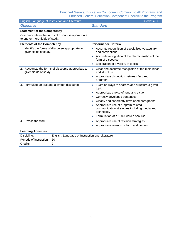| English, Language of Instruction and Literature                             |                                                    | Code: 4EAP                                                                                                                           |
|-----------------------------------------------------------------------------|----------------------------------------------------|--------------------------------------------------------------------------------------------------------------------------------------|
| <b>Objective</b>                                                            |                                                    | <b>Standard</b>                                                                                                                      |
| <b>Statement of the Competency</b>                                          |                                                    |                                                                                                                                      |
| to one or more fields of study.                                             | Communicate in the forms of discourse appropriate  |                                                                                                                                      |
| <b>Elements of the Competency</b>                                           |                                                    | <b>Performance Criteria</b>                                                                                                          |
| 1. Identify the forms of discourse appropriate to<br>given fields of study. |                                                    | Accurate recognition of specialized vocabulary<br>and conventions<br>Accurate recognition of the characteristics of the<br>$\bullet$ |
|                                                                             |                                                    | form of discourse                                                                                                                    |
|                                                                             |                                                    | Exploration of a variety of topics                                                                                                   |
| given fields of study.                                                      | 2. Recognize the forms of discourse appropriate to | Clear and accurate recognition of the main ideas<br>$\bullet$<br>and structure                                                       |
|                                                                             |                                                    | Appropriate distinction between fact and<br>$\bullet$<br>argument                                                                    |
| 3. Formulate an oral and a written discourse.                               |                                                    | Examine ways to address and structure a given<br>$\bullet$<br>topic                                                                  |
|                                                                             |                                                    | Appropriate choice of tone and diction<br>$\bullet$                                                                                  |
|                                                                             |                                                    | Correctly developed sentences                                                                                                        |
|                                                                             |                                                    | Clearly and coherently developed paragraphs                                                                                          |
|                                                                             |                                                    | Appropriate use of program-related<br>communication strategies including media and<br>technology                                     |
|                                                                             |                                                    | Formulation of a 1000-word discourse<br>$\bullet$                                                                                    |
| 4. Revise the work.                                                         |                                                    | Appropriate use of revision strategies<br>$\bullet$                                                                                  |
|                                                                             |                                                    | Appropriate revision of form and content                                                                                             |
| <b>Learning Activities</b>                                                  |                                                    |                                                                                                                                      |
| Discipline:                                                                 | English, Language of Instruction and Literature    |                                                                                                                                      |
| Periods of instruction:                                                     | 60                                                 |                                                                                                                                      |
| Credits:                                                                    | $\overline{2}$                                     |                                                                                                                                      |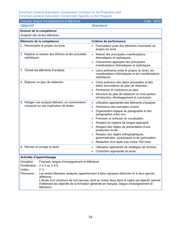| Français, langue d'enseignement et littérature                                                                             | Code: 4EF0                                                                                                                                                                                       |
|----------------------------------------------------------------------------------------------------------------------------|--------------------------------------------------------------------------------------------------------------------------------------------------------------------------------------------------|
| <b>Objectif</b>                                                                                                            | <b>Standard</b>                                                                                                                                                                                  |
| Énoncé de la compétence                                                                                                    |                                                                                                                                                                                                  |
| Analyser des textes littéraires.                                                                                           |                                                                                                                                                                                                  |
| Éléments de la compétence                                                                                                  | Critères de performance                                                                                                                                                                          |
| 1. Reconnaître le propos du texte.                                                                                         | Formulation juste des éléments importants du<br>propos du texte.                                                                                                                                 |
| 2. Repérer et classer des thèmes et des procédés<br>stylistiques.                                                          | Relevé des principales manifestations<br>$\bullet$<br>thématiques et stylistiques.                                                                                                               |
|                                                                                                                            | Classement approprié des principales<br>$\bullet$<br>manifestations thématiques et stylistiques.                                                                                                 |
| 3. Choisir les éléments d'analyse.                                                                                         | Liens pertinents entre le propos du texte, les<br>$\bullet$<br>manifestations thématiques et les manifestations<br>stylistiques.                                                                 |
| 4. Élaborer un plan de rédaction.                                                                                          | Choix judicieux des idées principales et des<br>$\bullet$<br>idées secondaires du plan de rédaction.<br>Pertinence et cohérence du plan.<br>$\bullet$                                            |
|                                                                                                                            | Structure du plan de rédaction en trois parties :<br>$\bullet$<br>introduction, développement et conclusion.                                                                                     |
| 5. Rédiger une analyse littéraire, un commentaire<br>composé ou une explication de textes.                                 | Utilisation appropriée des éléments d'analyse.<br>$\bullet$<br>Pertinence des exemples choisis.<br>$\bullet$<br>Organisation logique du paragraphe et des<br>$\bullet$<br>paragraphes entre eux. |
|                                                                                                                            | Précision et richesse du vocabulaire.<br>$\bullet$                                                                                                                                               |
|                                                                                                                            | Respect du registre de langue approprié.                                                                                                                                                         |
|                                                                                                                            | Respect des règles de présentation d'une<br>production écrite.                                                                                                                                   |
|                                                                                                                            | Respect des règles orthographiques,<br>$\bullet$<br>grammaticales, syntaxiques et de ponctuation.                                                                                                |
|                                                                                                                            | Rédaction d'un texte d'au moins 700 mots.                                                                                                                                                        |
| 6. Réviser et corriger le texte.                                                                                           | Utilisation appropriée de stratégies de révision.<br>$\bullet$<br>Correction appropriée du texte.                                                                                                |
| Activités d'apprentissage                                                                                                  |                                                                                                                                                                                                  |
| Discipline:<br>Français, langue d'enseignement et littérature<br>Pondération : 2-2-3 ou 1-3-3<br>$2\frac{1}{3}$<br>Unités: |                                                                                                                                                                                                  |
| Précisions :                                                                                                               | Les textes littéraires analysés appartiennent à deux époques distinctes et à deux genres                                                                                                         |
| différents.<br>littérature.                                                                                                | L'étude d'un minimum de huit œuvres, dont au moins deux dans le cadre cet objectif, permet<br>d'atteindre les objectifs de la formation générale en français, langue d'enseignement et           |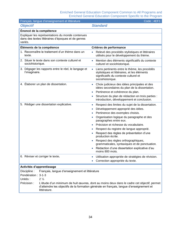| Français, langue d'enseignement et littérature                                                                                                                                                                        | Code: 4EF1                                                                                                                                                              |
|-----------------------------------------------------------------------------------------------------------------------------------------------------------------------------------------------------------------------|-------------------------------------------------------------------------------------------------------------------------------------------------------------------------|
| <b>Objectif</b>                                                                                                                                                                                                       | <b>Standard</b>                                                                                                                                                         |
| Énoncé de la compétence                                                                                                                                                                                               |                                                                                                                                                                         |
| Expliquer les représentations du monde contenues<br>dans des textes littéraires d'époques et de genres<br>variés.                                                                                                     |                                                                                                                                                                         |
| Éléments de la compétence                                                                                                                                                                                             | Critères de performance                                                                                                                                                 |
| 1. Reconnaître le traitement d'un thème dans un<br>texte.                                                                                                                                                             | Relevé des procédés stylistiques et littéraires<br>utilisés pour le développement du thème.                                                                             |
| 2. Situer le texte dans son contexte culturel et<br>sociohistorique.                                                                                                                                                  | Mention des éléments significatifs du contexte<br>$\bullet$<br>culturel et sociohistorique.                                                                             |
| 3. Dégager les rapports entre le réel, le langage et<br>l'imaginaire.                                                                                                                                                 | Liens pertinents entre le thème, les procédés<br>$\bullet$<br>stylistiques et littéraires, et les éléments<br>significatifs du contexte culturel et<br>sociohistorique. |
| 4. Elaborer un plan de dissertation.                                                                                                                                                                                  | Choix judicieux des idées principales et des<br>idées secondaires du plan de la dissertation.                                                                           |
|                                                                                                                                                                                                                       | Pertinence et cohérence du plan.                                                                                                                                        |
|                                                                                                                                                                                                                       | Structure du plan de rédaction en trois parties :<br>introduction, développement et conclusion.                                                                         |
| 5. Rédiger une dissertation explicative.                                                                                                                                                                              | Respect des limites du sujet de la dissertation.<br>$\bullet$                                                                                                           |
|                                                                                                                                                                                                                       | Développement approprié des idées.                                                                                                                                      |
|                                                                                                                                                                                                                       | Pertinence des exemples choisis.                                                                                                                                        |
|                                                                                                                                                                                                                       | Organisation logique du paragraphe et des<br>paragraphes entre eux.                                                                                                     |
|                                                                                                                                                                                                                       | Précision et richesse du vocabulaire.                                                                                                                                   |
|                                                                                                                                                                                                                       | Respect du registre de langue approprié.                                                                                                                                |
|                                                                                                                                                                                                                       | Respect des règles de présentation d'une<br>production écrite.                                                                                                          |
|                                                                                                                                                                                                                       | Respect des règles orthographiques,<br>grammaticales, syntaxiques et de ponctuation.                                                                                    |
|                                                                                                                                                                                                                       | Rédaction d'une dissertation explicative d'au<br>moins 800 mots.                                                                                                        |
| 6. Réviser et corriger le texte.                                                                                                                                                                                      | Utilisation appropriée de stratégies de révision.                                                                                                                       |
|                                                                                                                                                                                                                       | Correction appropriée du texte.                                                                                                                                         |
| Activités d'apprentissage                                                                                                                                                                                             |                                                                                                                                                                         |
| Français, langue d'enseignement et littérature<br>Discipline:                                                                                                                                                         |                                                                                                                                                                         |
| Pondération: 3-1-3                                                                                                                                                                                                    |                                                                                                                                                                         |
| Unités:<br>2 <sub>3</sub>                                                                                                                                                                                             |                                                                                                                                                                         |
| Précision :<br>L'étude d'un minimum de huit œuvres, dont au moins deux dans le cadre cet objectif, permet<br>d'atteindre les objectifs de la formation générale en français, langue d'enseignement et<br>littérature. |                                                                                                                                                                         |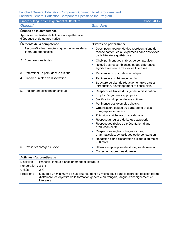| Français, langue d'enseignement et littérature                                      | Code: 4EF2                                                                                                                                                                             |
|-------------------------------------------------------------------------------------|----------------------------------------------------------------------------------------------------------------------------------------------------------------------------------------|
| <b>Objectif</b>                                                                     | <b>Standard</b>                                                                                                                                                                        |
| Énoncé de la compétence                                                             |                                                                                                                                                                                        |
| Apprécier des textes de la littérature québécoise<br>d'époques et de genres variés. |                                                                                                                                                                                        |
| Éléments de la compétence                                                           | Critères de performance                                                                                                                                                                |
| 1. Reconnaître les caractéristiques de textes de la<br>littérature québécoise.      | Description appropriée des représentations du<br>monde contenues ou exprimées dans des textes<br>de la littérature québécoise.                                                         |
| 2. Comparer des textes.                                                             | Choix pertinent des critères de comparaison.<br>$\bullet$                                                                                                                              |
|                                                                                     | Relevé des ressemblances et des différences<br>significatives entre des textes littéraires.                                                                                            |
| 3. Déterminer un point de vue critique.                                             | Pertinence du point de vue critique.<br>$\bullet$                                                                                                                                      |
| 4. Élaborer un plan de dissertation.                                                | Pertinence et cohérence du plan.<br>$\bullet$                                                                                                                                          |
|                                                                                     | Structure du plan de rédaction en trois parties :<br>introduction, développement et conclusion.                                                                                        |
| 5. Rédiger une dissertation critique.                                               | Respect des limites du sujet de la dissertation.<br>$\bullet$                                                                                                                          |
|                                                                                     | Emploi d'arguments appropriés.                                                                                                                                                         |
|                                                                                     | Justification du point de vue critique.                                                                                                                                                |
|                                                                                     | Pertinence des exemples choisis.                                                                                                                                                       |
|                                                                                     | Organisation logique du paragraphe et des<br>paragraphes entre eux.                                                                                                                    |
|                                                                                     | Précision et richesse du vocabulaire.                                                                                                                                                  |
|                                                                                     | Respect du registre de langue approprié.                                                                                                                                               |
|                                                                                     | Respect des règles de présentation d'une<br>production écrite.                                                                                                                         |
|                                                                                     | Respect des règles orthographiques,<br>grammaticales, syntaxiques et de ponctuation.                                                                                                   |
|                                                                                     | Rédaction d'une dissertation critique d'au moins<br>900 mots.                                                                                                                          |
| 6. Réviser et corriger le texte.                                                    | Utilisation appropriée de stratégies de révision.<br>$\bullet$                                                                                                                         |
|                                                                                     | Correction appropriée du texte.                                                                                                                                                        |
| Activités d'apprentissage                                                           |                                                                                                                                                                                        |
| Discipline:<br>Français, langue d'enseignement et littérature                       |                                                                                                                                                                                        |
| Pondération: 3-1-4                                                                  |                                                                                                                                                                                        |
| Unités:<br>$2\frac{2}{3}$                                                           |                                                                                                                                                                                        |
| Précision :<br>littérature.                                                         | L'étude d'un minimum de huit œuvres, dont au moins deux dans le cadre cet objectif, permet<br>d'atteindre les objectifs de la formation générale en français, langue d'enseignement et |
|                                                                                     |                                                                                                                                                                                        |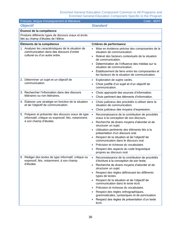| Français, langue d'enseignement et littérature                                                                                      | Code: 4EFP                                                                                                                                                                                                                                                                                                                                                                                                                                                                                                                         |
|-------------------------------------------------------------------------------------------------------------------------------------|------------------------------------------------------------------------------------------------------------------------------------------------------------------------------------------------------------------------------------------------------------------------------------------------------------------------------------------------------------------------------------------------------------------------------------------------------------------------------------------------------------------------------------|
| <b>Objectif</b>                                                                                                                     | <b>Standard</b>                                                                                                                                                                                                                                                                                                                                                                                                                                                                                                                    |
| Énoncé de la compétence                                                                                                             |                                                                                                                                                                                                                                                                                                                                                                                                                                                                                                                                    |
| Produire différents types de discours oraux et écrits<br>liés au champ d'études de l'élève.                                         |                                                                                                                                                                                                                                                                                                                                                                                                                                                                                                                                    |
| Éléments de la compétence                                                                                                           | Critères de performance                                                                                                                                                                                                                                                                                                                                                                                                                                                                                                            |
| 1. Analyser les caractéristiques de la situation de<br>communication dans des discours d'ordre<br>culturel ou d'un autre ordre.     | Mise en évidence précise des composantes de la<br>situation de communication.<br>Relevé des facteurs contextuels de la situation<br>de communication.<br>Détermination de l'influence des médias sur la<br>situation de communication.<br>Établissement de liens entre les composantes et<br>les facteurs de la situation de communication.                                                                                                                                                                                        |
| 2. Déterminer un sujet et un objectif de<br>communication.                                                                          | Exploration de sujets variés.<br>Choix justifié d'un sujet et d'un objectif de<br>communication.                                                                                                                                                                                                                                                                                                                                                                                                                                   |
| 3. Rechercher l'information dans des discours<br>littéraires ou non littéraires.                                                    | Choix approprié des sources d'information.<br>$\bullet$<br>Choix pertinent des éléments d'information.<br>$\bullet$                                                                                                                                                                                                                                                                                                                                                                                                                |
| 4. Élaborer une stratégie en fonction de la situation<br>et de l'objectif de communication.                                         | Choix judicieux des procédés à utiliser dans la<br>$\bullet$<br>situation de communication.<br>Choix judicieux des moyens d'expression.                                                                                                                                                                                                                                                                                                                                                                                            |
| 5. Préparer et présenter des discours oraux de type<br>informatif, critique ou expressif, liés, notamment.<br>à son champ d'études. | Reconnaissance de la contribution de procédés<br>$\bullet$<br>oraux à la conception de son discours.<br>Recherche de divers moyens d'aborder et de<br>$\bullet$<br>structurer un sujet.<br>Utilisation pertinente des éléments liés à la<br>présentation d'un discours oral.<br>Respect de la situation et de l'objectif de<br>communication dans le discours oral.<br>Précision et richesse du vocabulaire.<br>Respect des aspects du code linguistique<br>propres au discours oral.                                              |
| 6. Rédiger des textes de type informatif, critique ou<br>expressif, liés, notamment, à son champ<br>d'études.                       | Reconnaissance de la contribution de procédés<br>$\bullet$<br>d'écriture à la conception de son texte.<br>Recherche de divers moyens d'aborder et de<br>structurer un sujet.<br>Respect des règles définissant les différents<br>types de textes.<br>Respect de la situation et de l'objectif de<br>communication dans le texte écrit.<br>Précision et richesse du vocabulaire.<br>Respect des règles orthographiques,<br>grammaticales, syntaxiques et de ponctuation.<br>Respect des règles de présentation d'un texte<br>écrit. |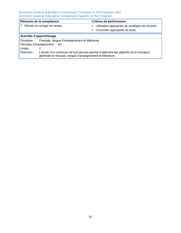| Éléments de la compétence          |                                                                                                                                                     | Critères de performance                                        |  |  |
|------------------------------------|-----------------------------------------------------------------------------------------------------------------------------------------------------|----------------------------------------------------------------|--|--|
| 7. Réviser et corriger les textes. |                                                                                                                                                     | Utilisation appropriée de stratégies de révision.<br>$\bullet$ |  |  |
|                                    |                                                                                                                                                     | • Correction appropriée du texte.                              |  |  |
| Activités d'apprentissage          |                                                                                                                                                     |                                                                |  |  |
|                                    | Discipline : Français, langue d'enseignement et littérature                                                                                         |                                                                |  |  |
| Périodes d'enseignement : 60       |                                                                                                                                                     |                                                                |  |  |
| Unités :                           | 2                                                                                                                                                   |                                                                |  |  |
| Précision :                        | L'étude d'un minimum de huit œuvres permet d'atteindre les objectifs de la formation<br>générale en français, langue d'enseignement et littérature. |                                                                |  |  |
|                                    |                                                                                                                                                     |                                                                |  |  |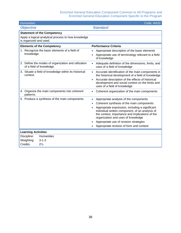| <b>Humanities</b>                                                               | Code: 4HU0                                                                                                                                                                                  |  |  |  |
|---------------------------------------------------------------------------------|---------------------------------------------------------------------------------------------------------------------------------------------------------------------------------------------|--|--|--|
| <b>Objective</b>                                                                | <b>Standard</b>                                                                                                                                                                             |  |  |  |
| <b>Statement of the Competency</b>                                              |                                                                                                                                                                                             |  |  |  |
| Apply a logical analytical process to how knowledge<br>is organized and used.   |                                                                                                                                                                                             |  |  |  |
| <b>Elements of the Competency</b>                                               | <b>Performance Criteria</b>                                                                                                                                                                 |  |  |  |
| 1. Recognize the basic elements of a field of                                   | Appropriate description of the basic elements<br>۰                                                                                                                                          |  |  |  |
| knowledge.                                                                      | Appropriate use of terminology relevant to a field<br>of knowledge                                                                                                                          |  |  |  |
| 2. Define the modes of organization and utilization<br>of a field of knowledge. | Adequate definition of the dimensions, limits, and<br>$\bullet$<br>uses of a field of knowledge                                                                                             |  |  |  |
| 3. Situate a field of knowledge within its historical<br>context.               | Accurate identification of the main components in<br>$\bullet$<br>the historical development of a field of knowledge                                                                        |  |  |  |
|                                                                                 | Accurate description of the effects of historical<br>$\bullet$<br>development and social context on the limits and<br>uses of a field of knowledge                                          |  |  |  |
| 4. Organize the main components into coherent<br>patterns.                      | Coherent organization of the main components<br>$\bullet$                                                                                                                                   |  |  |  |
| 5. Produce a synthesis of the main components.                                  | Appropriate analysis of the components<br>$\bullet$                                                                                                                                         |  |  |  |
|                                                                                 | Coherent synthesis of the main components                                                                                                                                                   |  |  |  |
|                                                                                 | Appropriate expression, including a significant<br>individual written component, of an analysis of<br>the context, importance and implications of the<br>organization and uses of knowledge |  |  |  |
|                                                                                 | Appropriate use of revision strategies                                                                                                                                                      |  |  |  |
|                                                                                 | Appropriate revision of form and content                                                                                                                                                    |  |  |  |
| <b>Learning Activities</b>                                                      |                                                                                                                                                                                             |  |  |  |
| <b>Humanities</b><br>Discipline:                                                |                                                                                                                                                                                             |  |  |  |
| $3 - 1 - 3$<br>Weighting:                                                       |                                                                                                                                                                                             |  |  |  |
| Credits:<br>$2\frac{1}{3}$                                                      |                                                                                                                                                                                             |  |  |  |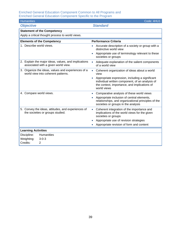| <b>Humanities</b>                                                                           | Code: 4HU1                                                                                                                                                                     |  |  |
|---------------------------------------------------------------------------------------------|--------------------------------------------------------------------------------------------------------------------------------------------------------------------------------|--|--|
| <b>Objective</b>                                                                            | <b>Standard</b>                                                                                                                                                                |  |  |
| <b>Statement of the Competency</b>                                                          |                                                                                                                                                                                |  |  |
| Apply a critical thought process to world views.                                            |                                                                                                                                                                                |  |  |
| <b>Elements of the Competency</b>                                                           | <b>Performance Criteria</b>                                                                                                                                                    |  |  |
| 1. Describe world views.                                                                    | Accurate description of a society or group with a<br>$\bullet$<br>distinctive world view                                                                                       |  |  |
|                                                                                             | Appropriate use of terminology relevant to these<br>$\bullet$<br>societies or groups                                                                                           |  |  |
| 2. Explain the major ideas, values, and implications<br>associated with a given world view. | Adequate explanation of the salient components<br>$\bullet$<br>of a world view                                                                                                 |  |  |
| 3. Organize the ideas, values and experiences of a<br>world view into coherent patterns.    | Coherent organization of ideas about a world<br>$\bullet$<br>view                                                                                                              |  |  |
|                                                                                             | Appropriate expression, including a significant<br>$\bullet$<br>individual written component, of an analysis of<br>the context, importance, and implications of<br>world views |  |  |
| 4. Compare world views.                                                                     | Comparative analysis of these world views<br>$\bullet$                                                                                                                         |  |  |
|                                                                                             | Appropriate inclusion of central elements,<br>$\bullet$<br>relationships, and organizational principles of the<br>societies or groups in the analysis                          |  |  |
| 5. Convey the ideas, attitudes, and experiences of<br>the societies or groups studied.      | Coherent integration of the importance and<br>$\bullet$<br>implications of the world views for the given<br>societies or groups                                                |  |  |
|                                                                                             | Appropriate use of revision strategies                                                                                                                                         |  |  |
|                                                                                             | Appropriate revision of form and content                                                                                                                                       |  |  |
| <b>Learning Activities</b>                                                                  |                                                                                                                                                                                |  |  |
| Discipline:<br><b>Humanities</b>                                                            |                                                                                                                                                                                |  |  |
| $3 - 0 - 3$<br>Weighting:                                                                   |                                                                                                                                                                                |  |  |
| Credits:<br>$\overline{2}$                                                                  |                                                                                                                                                                                |  |  |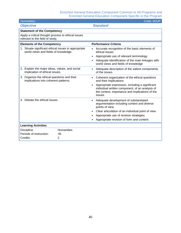| Code: 4HUP<br><b>Humanities</b>                                                              |                                    |                                                                                                                                                                 |  |  |  |
|----------------------------------------------------------------------------------------------|------------------------------------|-----------------------------------------------------------------------------------------------------------------------------------------------------------------|--|--|--|
| <b>Objective</b>                                                                             |                                    | <b>Standard</b>                                                                                                                                                 |  |  |  |
|                                                                                              | <b>Statement of the Competency</b> |                                                                                                                                                                 |  |  |  |
| Apply a critical thought process to ethical issues<br>relevant to the field of study.        |                                    |                                                                                                                                                                 |  |  |  |
| <b>Elements of the Competency</b>                                                            |                                    | <b>Performance Criteria</b>                                                                                                                                     |  |  |  |
| 1. Situate significant ethical issues in appropriate<br>world views and fields of knowledge. |                                    | Accurate recognition of the basic elements of<br>ethical issues                                                                                                 |  |  |  |
|                                                                                              |                                    | Appropriate use of relevant terminology                                                                                                                         |  |  |  |
|                                                                                              |                                    | Adequate identification of the main linkages with<br>world views and fields of knowledge                                                                        |  |  |  |
| 2. Explain the major ideas, values, and social<br>implication of ethical issues.             |                                    | Adequate description of the salient components<br>of the issues                                                                                                 |  |  |  |
| 3. Organize the ethical questions and their<br>implications into coherent patterns.          |                                    | Coherent organization of the ethical questions<br>$\bullet$<br>and their implications                                                                           |  |  |  |
|                                                                                              |                                    | Appropriate expression, including a significant<br>individual written component, of an analysis of<br>the context, importance and implications of the<br>issues |  |  |  |
| 4. Debate the ethical issues.                                                                |                                    | Adequate development of substantiated<br>argumentation including context and diverse<br>points of view                                                          |  |  |  |
|                                                                                              |                                    | Clear articulation of an individual point of view                                                                                                               |  |  |  |
|                                                                                              |                                    | Appropriate use of revision strategies                                                                                                                          |  |  |  |
|                                                                                              |                                    | Appropriate revision of form and content                                                                                                                        |  |  |  |
| <b>Learning Activities</b>                                                                   |                                    |                                                                                                                                                                 |  |  |  |
| Discipline:                                                                                  | <b>Humanities</b>                  |                                                                                                                                                                 |  |  |  |
| Periods of instruction:                                                                      | 45                                 |                                                                                                                                                                 |  |  |  |
| Credits:                                                                                     | $\overline{2}$                     |                                                                                                                                                                 |  |  |  |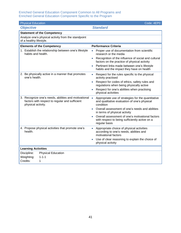| <b>Physical Education</b><br>Code: 4EP0                                                                                      |                                                                                                                              |  |  |  |
|------------------------------------------------------------------------------------------------------------------------------|------------------------------------------------------------------------------------------------------------------------------|--|--|--|
| <b>Objective</b>                                                                                                             | <b>Standard</b>                                                                                                              |  |  |  |
| <b>Statement of the Competency</b>                                                                                           |                                                                                                                              |  |  |  |
| Analyze one's physical activity from the standpoint<br>of a healthy lifestyle.                                               |                                                                                                                              |  |  |  |
| <b>Elements of the Competency</b>                                                                                            | <b>Performance Criteria</b>                                                                                                  |  |  |  |
| 1. Establish the relationship between one's lifestyle<br>habits and health.                                                  | Proper use of documentation from scientific<br>$\bullet$<br>research or the media                                            |  |  |  |
|                                                                                                                              | Recognition of the influence of social and cultural<br>$\bullet$<br>factors on the practice of physical activity             |  |  |  |
|                                                                                                                              | Pertinent links made between one's lifestyle<br>$\bullet$<br>habits and the impact they have on health                       |  |  |  |
| 2. Be physically active in a manner that promotes<br>one's health.                                                           | Respect for the rules specific to the physical<br>$\bullet$<br>activity practised                                            |  |  |  |
|                                                                                                                              | Respect for codes of ethics, safety rules and<br>regulations when being physically active                                    |  |  |  |
|                                                                                                                              | Respect for one's abilities when practising<br>physical activities                                                           |  |  |  |
| 3. Recognize one's needs, abilities and motivational<br>factors with respect to regular and sufficient<br>physical activity. | Appropriate use of strategies for the quantitative<br>$\bullet$<br>and qualitative evaluation of one's physical<br>condition |  |  |  |
|                                                                                                                              | Overall assessment of one's needs and abilities<br>in terms of physical activity                                             |  |  |  |
|                                                                                                                              | Overall assessment of one's motivational factors<br>with respect to being sufficiently active on a<br>regular basis          |  |  |  |
| 4. Propose physical activities that promote one's<br>health.                                                                 | Appropriate choice of physical activities<br>$\bullet$<br>according to one's needs, abilities and<br>motivational factors    |  |  |  |
|                                                                                                                              | Use of clear reasoning to explain the choice of<br>physical activity                                                         |  |  |  |
| <b>Learning Activities</b>                                                                                                   |                                                                                                                              |  |  |  |
| <b>Physical Education</b><br>Discipline:                                                                                     |                                                                                                                              |  |  |  |
| Weighting:<br>$1 - 1 - 1$                                                                                                    |                                                                                                                              |  |  |  |
| Credits:<br>1                                                                                                                |                                                                                                                              |  |  |  |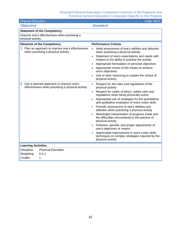| <b>Physical Education</b>                                                                        | Code: 4EP1                                                                                                              |  |  |
|--------------------------------------------------------------------------------------------------|-------------------------------------------------------------------------------------------------------------------------|--|--|
| <b>Objective</b>                                                                                 | <b>Standard</b>                                                                                                         |  |  |
| <b>Statement of the Competency</b>                                                               |                                                                                                                         |  |  |
| Improve one's effectiveness when practising a<br>physical activity.                              |                                                                                                                         |  |  |
| <b>Elements of the Competency</b>                                                                | <b>Performance Criteria</b>                                                                                             |  |  |
| 1. Plan an approach to improve one's effectiveness<br>when practising a physical activity.       | Initial assessment of one's abilities and attitudes<br>$\bullet$<br>when practising a physical activity                 |  |  |
|                                                                                                  | Statement of one's expectations and needs with<br>$\bullet$<br>respect to the ability to practise the activity          |  |  |
|                                                                                                  | Appropriate formulation of personal objectives<br>$\bullet$                                                             |  |  |
|                                                                                                  | Appropriate choice of the means to achieve<br>one's objectives                                                          |  |  |
|                                                                                                  | Use of clear reasoning to explain the choice of<br>physical activity                                                    |  |  |
| 2. Use a planned approach to improve one's<br>effectiveness when practising a physical activity. | Respect for the rules and regulations of the<br>$\bullet$<br>physical activity                                          |  |  |
|                                                                                                  | Respect for codes of ethics, safety rules and<br>$\bullet$<br>regulations when being physically active                  |  |  |
|                                                                                                  | Appropriate use of strategies for the quantitative<br>and qualitative evaluation of one's motor skills                  |  |  |
|                                                                                                  | Periodic assessment of one's abilities and<br>attitudes when practising a physical activity                             |  |  |
|                                                                                                  | Meaningful interpretation of progress made and<br>the difficulties encountered in the practice of<br>physical activity  |  |  |
|                                                                                                  | Pertinent, periodic and proper adjustments of<br>one's objectives or means                                              |  |  |
|                                                                                                  | Appreciable improvement in one's motor skills,<br>techniques or complex strategies required by the<br>physical activity |  |  |
| <b>Learning Activities</b>                                                                       |                                                                                                                         |  |  |
| Discipline:<br><b>Physical Education</b>                                                         |                                                                                                                         |  |  |
| Weighting:<br>$0 - 2 - 1$                                                                        |                                                                                                                         |  |  |
| Credits:<br>1                                                                                    |                                                                                                                         |  |  |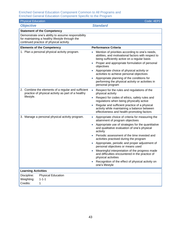| <b>Physical Education</b>                                                                                                                         | Code: 4EP2                                                                                                                                                                                                                                                                                                                                                                                                                                                                                                                                                                                                                          |  |  |  |
|---------------------------------------------------------------------------------------------------------------------------------------------------|-------------------------------------------------------------------------------------------------------------------------------------------------------------------------------------------------------------------------------------------------------------------------------------------------------------------------------------------------------------------------------------------------------------------------------------------------------------------------------------------------------------------------------------------------------------------------------------------------------------------------------------|--|--|--|
| <b>Objective</b>                                                                                                                                  | <b>Standard</b>                                                                                                                                                                                                                                                                                                                                                                                                                                                                                                                                                                                                                     |  |  |  |
| <b>Statement of the Competency</b>                                                                                                                |                                                                                                                                                                                                                                                                                                                                                                                                                                                                                                                                                                                                                                     |  |  |  |
| Demonstrate one's ability to assume responsibility<br>for maintaining a healthy lifestyle through the<br>continued practice of physical activity. |                                                                                                                                                                                                                                                                                                                                                                                                                                                                                                                                                                                                                                     |  |  |  |
| <b>Elements of the Competency</b>                                                                                                                 | <b>Performance Criteria</b>                                                                                                                                                                                                                                                                                                                                                                                                                                                                                                                                                                                                         |  |  |  |
| 1. Plan a personal physical activity program.                                                                                                     | Mention of priorities according to one's needs,<br>$\bullet$<br>abilities, and motivational factors with respect to<br>being sufficiently active on a regular basis<br>Proper and appropriate formulation of personal<br>objectives<br>Appropriate choice of physical activity or<br>activities to achieve personal objectives<br>Appropriate planning of the conditions for<br>$\bullet$<br>performing the physical activity or activities in<br>personal program                                                                                                                                                                  |  |  |  |
| 2. Combine the elements of a regular and sufficient<br>practice of physical activity as part of a healthy<br>lifestyle.                           | Respect for the rules and regulations of the<br>$\bullet$<br>physical activity<br>Respect for codes of ethics, safety rules and<br>$\bullet$<br>regulations when being physically active<br>Regular and sufficient practice of a physical<br>$\bullet$<br>activity while maintaining a balance between<br>effectiveness and health-promoting factors                                                                                                                                                                                                                                                                                |  |  |  |
| 3. Manage a personal physical activity program.                                                                                                   | Appropriate choice of criteria for measuring the<br>$\bullet$<br>attainment of program objectives<br>Appropriate use of strategies for the quantitative<br>$\bullet$<br>and qualitative evaluation of one's physical<br>activity<br>Periodic assessment of the time invested and<br>activities practised during the program<br>Appropriate, periodic and proper adjustment of<br>$\bullet$<br>personal objectives or means used<br>Meaningful interpretation of the progress made<br>and difficulties encountered in the practice of<br>physical activities<br>Recognition of the effect of physical activity on<br>one's lifestyle |  |  |  |
| <b>Learning Activities</b>                                                                                                                        |                                                                                                                                                                                                                                                                                                                                                                                                                                                                                                                                                                                                                                     |  |  |  |
| Discipline:<br><b>Physical Education</b><br>Weighting:<br>$1 - 1 - 1$<br>Credits:<br>1                                                            |                                                                                                                                                                                                                                                                                                                                                                                                                                                                                                                                                                                                                                     |  |  |  |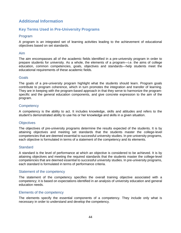### <span id="page-51-0"></span>**Additional Information**

### <span id="page-51-1"></span>**Key Terms Used in Pre-University Programs**

#### Program

A program is an integrated set of learning activities leading to the achievement of educational objectives based on set standards.

#### Aim

The aim encompasses all of the academic fields identified in a pre-university program in order to prepare students for university. As a whole, the elements of a program—i.e. the aims of college education, common competencies, goals, objectives and standards—help students meet the educational requirements of these academic fields.

#### Goals

The goals of a pre-university program highlight what the students should learn. Program goals contribute to program coherence, which in turn promotes the integration and transfer of learning. They are in keeping with the program-based approach in that they serve to harmonize the programspecific and the general education components, and give concrete expression to the aim of the program.

#### **Competency**

A competency is the ability to act. It includes knowledge, skills and attitudes and refers to the student's demonstrated ability to use his or her knowledge and skills in a given situation.

#### **Objectives**

The objectives of pre-university programs determine the results expected of the students. It is by attaining objectives and meeting set standards that the students master the college-level competencies that are deemed essential to successful university studies. In pre-university programs, each objective is formulated in terms of a statement of the competency and its elements.

#### **Standard**

A standard is the level of performance at which an objective is considered to be achieved. It is by attaining objectives and meeting the required standards that the students master the college-level competencies that are deemed essential to successful university studies. In pre-university programs, each standard is formulated in terms of performance criteria.

#### Statement of the competency

The statement of the competency specifies the overall training objective associated with a competency; it is based on expectations identified in an analysis of university education and general education needs.

#### Elements of the competency

The elements specify the essential components of a competency. They include only what is necessary in order to understand and develop the competency.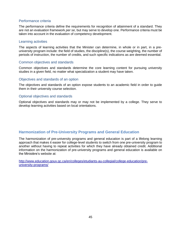#### Performance criteria

The performance criteria define the requirements for recognition of attainment of a standard. They are not an evaluation framework *per se*, but may serve to develop one. Performance criteria must be taken into account in the evaluation of competency development.

#### Learning activities

The aspects of learning activities that the Minister can determine, in whole or in part, in a preuniversity program include: the field of studies, the discipline(s), the course weighting, the number of periods of instruction, the number of credits, and such specific indications as are deemed essential.

#### Common objectives and standards

Common objectives and standards determine the core learning content for pursuing university studies in a given field, no matter what specialization a student may have taken.

#### Objectives and standards of an option

The objectives and standards of an option expose students to an academic field in order to guide them in their university course selection.

#### Optional objectives and standards

Optional objectives and standards may or may not be implemented by a college. They serve to develop learning activities based on local orientations.

#### <span id="page-52-0"></span>**Harmonization of Pre-University Programs and General Education**

The harmonization of pre-university programs and general education is part of a lifelong learning approach that makes it easier for college-level students to switch from one pre-university program to another without having to repeat activities for which they have already obtained credit. Additional information on the harmonization of pre-university programs and general education is available on the Ministère's website at:

[http://www.education.gouv.qc.ca/en/colleges/etudiants-au-collegial/college-education/pre](http://www.education.gouv.qc.ca/en/colleges/etudiants-au-collegial/college-education/pre-university-programs/)[university-programs/](http://www.education.gouv.qc.ca/en/colleges/etudiants-au-collegial/college-education/pre-university-programs/)